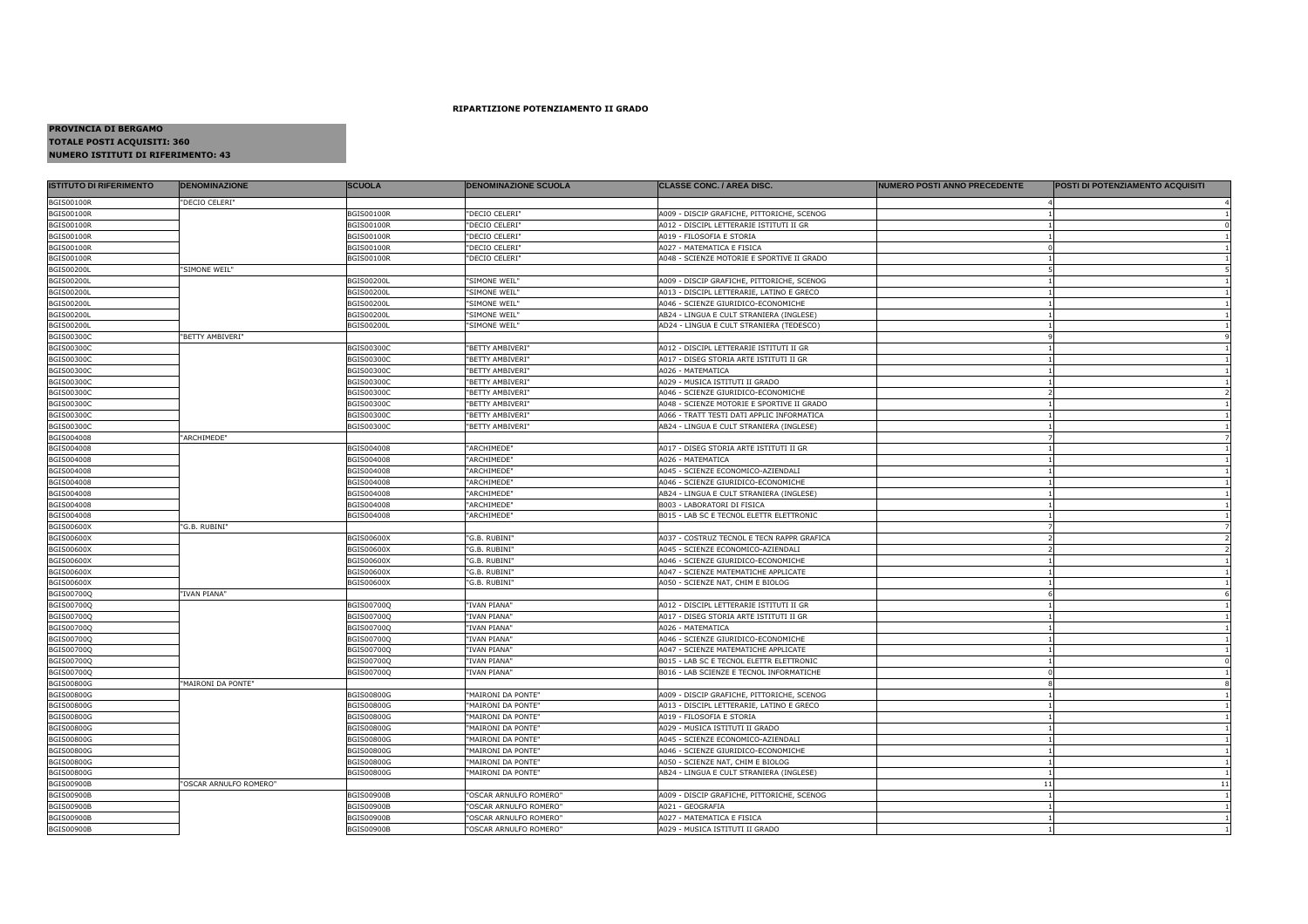## **RIPARTIZIONE POTENZIAMENTO II GRADO**

## **PROVINCIA DI BERGAMO TOTALE POSTI ACQUISITI: 360NUMERO ISTITUTI DI RIFERIMENTO: 43**

| <b>BGIS00100R</b><br>"DECIO CELERI"<br>"DECIO CELERI"<br><b>BGIS00100R</b><br><b>BGIS00100R</b><br>A009 - DISCIP GRAFICHE, PITTORICHE, SCENOG<br><b>BGIS00100R</b><br>BGIS00100R<br>"DECIO CELERI"<br>A012 - DISCIPL LETTERARIE ISTITUTI II GR<br><b>BGIS00100R</b><br>"DECIO CELERI"<br><b>BGIS00100R</b><br>A019 - FILOSOFIA E STORIA<br><b>BGIS00100R</b><br>BGIS00100R<br>"DECIO CELERI"<br>A027 - MATEMATICA E FISICA<br><b>BGIS00100R</b><br><b>BGIS00100R</b><br>"DECIO CELERI"<br>A048 - SCIENZE MOTORIE E SPORTIVE II GRADO<br><b>BGIS00200L</b><br>"SIMONE WEIL"<br><b>BGIS00200L</b><br><b>BGIS00200L</b><br>"SIMONE WEIL"<br>A009 - DISCIP GRAFICHE, PITTORICHE, SCENOG<br>"SIMONE WEIL"<br><b>BGIS00200L</b><br>BGIS00200L<br>A013 - DISCIPL LETTERARIE, LATINO E GRECO<br>BGIS00200L<br><b>BGIS00200L</b><br>"SIMONE WEIL"<br>A046 - SCIENZE GIURIDICO-ECONOMICHE<br><b>BGIS00200L</b><br><b>BGIS00200L</b><br>"SIMONE WEIL"<br>AB24 - LINGUA E CULT STRANIERA (INGLESE)<br><b>BGIS00200L</b><br><b>BGIS00200L</b><br>"SIMONE WEIL"<br>AD24 - LINGUA E CULT STRANIERA (TEDESCO)<br>BGIS00300C<br>"BETTY AMBIVERI"<br><b>BGIS00300C</b><br>"BETTY AMBIVERI"<br>A012 - DISCIPL LETTERARIE ISTITUTI II GR<br><b>BGIS00300C</b><br><b>BGIS00300C</b><br><b>BGIS00300C</b><br>"BETTY AMBIVERI"<br>A017 - DISEG STORIA ARTE ISTITUTI II GR<br><b>BGIS00300C</b><br><b>BGIS00300C</b><br>"BETTY AMBIVERI"<br>A026 - MATEMATICA<br>BGIS00300C<br>BGIS00300C<br>"BETTY AMBIVERI"<br>A029 - MUSICA ISTITUTI II GRADO<br>$1\vert$<br><b>BGIS00300C</b><br><b>BGIS00300C</b><br>"BETTY AMBIVERI"<br>A046 - SCIENZE GIURIDICO-ECONOMICHE<br>BGIS00300C<br>BGIS00300C<br>"BETTY AMBIVERI"<br>A048 - SCIENZE MOTORIE E SPORTIVE II GRADO<br>BGIS00300C<br>BGIS00300C<br>"BETTY AMBIVERI"<br>A066 - TRATT TESTI DATI APPLIC INFORMATICA<br><b>BGIS00300C</b><br>BGIS00300C<br>"BETTY AMBIVERI"<br>AB24 - LINGUA E CULT STRANIERA (INGLESE)<br>BGIS004008<br>"ARCHIMEDE"<br>BGIS004008<br>BGIS004008<br>"ARCHIMEDE"<br>A017 - DISEG STORIA ARTE ISTITUTI II GR<br>BGIS004008<br>BGIS004008<br>"ARCHIMEDE"<br>A026 - MATEMATICA<br>BGIS004008<br>BGIS004008<br>"ARCHIMEDE"<br>A045 - SCIENZE ECONOMICO-AZIENDALI<br>BGIS004008<br>BGIS004008<br>"ARCHIMEDE"<br>A046 - SCIENZE GIURIDICO-ECONOMICHE<br>BGIS004008<br>BGIS004008<br>"ARCHIMEDE"<br>AB24 - LINGUA E CULT STRANIERA (INGLESE)<br>BGIS004008<br>"ARCHIMEDE"<br>B003 - LABORATORI DI FISICA<br>BGIS004008<br>BGIS004008<br>"ARCHIMEDE"<br>BGIS004008<br>B015 - LAB SC E TECNOL ELETTR ELETTRONIC<br>BGIS00600X<br>"G.B. RUBINI"<br>BGIS00600X<br>BGIS00600X<br>"G.B. RUBINI'<br>A037 - COSTRUZ TECNOL E TECN RAPPR GRAFICA<br>$\overline{2}$<br>BGIS00600X<br>BGIS00600X<br>"G.B. RUBINI"<br>A045 - SCIENZE ECONOMICO-AZIENDALI<br><b>BGIS00600X</b><br><b>BGIS00600X</b><br>"G.B. RUBINI"<br>A046 - SCIENZE GIURIDICO-ECONOMICHE<br><b>BGIS00600X</b><br>3GIS00600X<br>"G.B. RUBINI"<br>A047 - SCIENZE MATEMATICHE APPLICATE<br><b>BGIS00600X</b><br><b>BGIS00600X</b><br>"G.B. RUBINI"<br>A050 - SCIENZE NAT, CHIM E BIOLOG<br>BGIS00700Q<br>"IVAN PIANA"<br>BGIS00700Q<br>BGIS00700Q<br>"IVAN PIANA"<br>A012 - DISCIPL LETTERARIE ISTITUTI II GR<br>BGIS00700Q<br>"IVAN PIANA"<br>BGIS00700Q<br>A017 - DISEG STORIA ARTE ISTITUTI II GR<br>"IVAN PIANA"<br>BGIS00700Q<br>BGIS00700Q<br>A026 - MATEMATICA<br>BGIS00700Q<br>BGIS00700Q<br>"IVAN PIANA"<br>A046 - SCIENZE GIURIDICO-ECONOMICHE<br>BGIS00700Q<br>"IVAN PIANA"<br>A047 - SCIENZE MATEMATICHE APPLICATE<br>"IVAN PIANA"<br>BGIS00700Q<br>B015 - LAB SC E TECNOL ELETTR ELETTRONIC<br>BGIS00700Q<br>"IVAN PIANA"<br>BGIS00700Q<br>B016 - LAB SCIENZE E TECNOL INFORMATICHE<br>"MAIRONI DA PONTE"<br><b>BGIS00800G</b><br>"MAIRONI DA PONTE"<br>A009 - DISCIP GRAFICHE, PITTORICHE, SCENOG<br>BGIS00800G<br>"MAIRONI DA PONTE"<br>A013 - DISCIPL LETTERARIE, LATINO E GRECO<br>BGIS00800G<br>"MAIRONI DA PONTE"<br>A019 - FILOSOFIA E STORIA<br><b>BGIS00800G</b><br>"MAIRONI DA PONTE"<br>A029 - MUSICA ISTITUTI II GRADO<br><b>BGIS00800G</b><br>"MAIRONI DA PONTE"<br>A045 - SCIENZE ECONOMICO-AZIENDALI<br><b>BGIS00800G</b><br>"MAIRONI DA PONTE"<br>A046 - SCIENZE GIURIDICO-ECONOMICHE<br><b>BGIS00800G</b><br>"MAIRONI DA PONTE"<br>A050 - SCIENZE NAT, CHIM E BIOLOG<br><b>BGIS00800G</b><br>"MAIRONI DA PONTE"<br>AB24 - LINGUA E CULT STRANIERA (INGLESE)<br>11<br>"OSCAR ARNULFO ROMERO"<br><b>BGIS00900B</b><br>"OSCAR ARNULFO ROMERO"<br>A009 - DISCIP GRAFICHE, PITTORICHE, SCENOG<br><b>BGIS00900B</b><br>"OSCAR ARNULFO ROMERO"<br>A021 - GEOGRAFIA<br><b>BGIS00900B</b><br>"OSCAR ARNULFO ROMERO"<br>A027 - MATEMATICA E FISICA<br><b>BGIS00900B</b><br>"OSCAR ARNULFO ROMERO"<br>A029 - MUSICA ISTITUTI II GRADO | <b>ISTITUTO DI RIFERIMENTO</b> | <b>DENOMINAZIONE</b> | <b>SCUOLA</b> | <b>DENOMINAZIONE SCUOLA</b> | CLASSE CONC. / AREA DISC. | <b>NUMERO POSTI ANNO PRECEDENTE</b> | <b>POSTI DI POTENZIAMENTO ACQUISITI</b> |
|------------------------------------------------------------------------------------------------------------------------------------------------------------------------------------------------------------------------------------------------------------------------------------------------------------------------------------------------------------------------------------------------------------------------------------------------------------------------------------------------------------------------------------------------------------------------------------------------------------------------------------------------------------------------------------------------------------------------------------------------------------------------------------------------------------------------------------------------------------------------------------------------------------------------------------------------------------------------------------------------------------------------------------------------------------------------------------------------------------------------------------------------------------------------------------------------------------------------------------------------------------------------------------------------------------------------------------------------------------------------------------------------------------------------------------------------------------------------------------------------------------------------------------------------------------------------------------------------------------------------------------------------------------------------------------------------------------------------------------------------------------------------------------------------------------------------------------------------------------------------------------------------------------------------------------------------------------------------------------------------------------------------------------------------------------------------------------------------------------------------------------------------------------------------------------------------------------------------------------------------------------------------------------------------------------------------------------------------------------------------------------------------------------------------------------------------------------------------------------------------------------------------------------------------------------------------------------------------------------------------------------------------------------------------------------------------------------------------------------------------------------------------------------------------------------------------------------------------------------------------------------------------------------------------------------------------------------------------------------------------------------------------------------------------------------------------------------------------------------------------------------------------------------------------------------------------------------------------------------------------------------------------------------------------------------------------------------------------------------------------------------------------------------------------------------------------------------------------------------------------------------------------------------------------------------------------------------------------------------------------------------------------------------------------------------------------------------------------------------------------------------------------------------------------------------------------------------------------------------------------------------------------------------------------------------------------------------------------------------------------------------------------------------------------------------------------------------------------------------------------------------------------------------------------------------------------------------------------------------------------------------------------------------------------------------------------------------------------------------------------------------------------------------------------------------------------------------------------------------------------------------------------------------------------------------------------------------------------------------------------------------------------------------------------------------------------------------------------------------------------------|--------------------------------|----------------------|---------------|-----------------------------|---------------------------|-------------------------------------|-----------------------------------------|
|                                                                                                                                                                                                                                                                                                                                                                                                                                                                                                                                                                                                                                                                                                                                                                                                                                                                                                                                                                                                                                                                                                                                                                                                                                                                                                                                                                                                                                                                                                                                                                                                                                                                                                                                                                                                                                                                                                                                                                                                                                                                                                                                                                                                                                                                                                                                                                                                                                                                                                                                                                                                                                                                                                                                                                                                                                                                                                                                                                                                                                                                                                                                                                                                                                                                                                                                                                                                                                                                                                                                                                                                                                                                                                                                                                                                                                                                                                                                                                                                                                                                                                                                                                                                                                                                                                                                                                                                                                                                                                                                                                                                                                                                                                                                                      |                                |                      |               |                             |                           |                                     |                                         |
|                                                                                                                                                                                                                                                                                                                                                                                                                                                                                                                                                                                                                                                                                                                                                                                                                                                                                                                                                                                                                                                                                                                                                                                                                                                                                                                                                                                                                                                                                                                                                                                                                                                                                                                                                                                                                                                                                                                                                                                                                                                                                                                                                                                                                                                                                                                                                                                                                                                                                                                                                                                                                                                                                                                                                                                                                                                                                                                                                                                                                                                                                                                                                                                                                                                                                                                                                                                                                                                                                                                                                                                                                                                                                                                                                                                                                                                                                                                                                                                                                                                                                                                                                                                                                                                                                                                                                                                                                                                                                                                                                                                                                                                                                                                                                      |                                |                      |               |                             |                           |                                     |                                         |
|                                                                                                                                                                                                                                                                                                                                                                                                                                                                                                                                                                                                                                                                                                                                                                                                                                                                                                                                                                                                                                                                                                                                                                                                                                                                                                                                                                                                                                                                                                                                                                                                                                                                                                                                                                                                                                                                                                                                                                                                                                                                                                                                                                                                                                                                                                                                                                                                                                                                                                                                                                                                                                                                                                                                                                                                                                                                                                                                                                                                                                                                                                                                                                                                                                                                                                                                                                                                                                                                                                                                                                                                                                                                                                                                                                                                                                                                                                                                                                                                                                                                                                                                                                                                                                                                                                                                                                                                                                                                                                                                                                                                                                                                                                                                                      |                                |                      |               |                             |                           |                                     |                                         |
|                                                                                                                                                                                                                                                                                                                                                                                                                                                                                                                                                                                                                                                                                                                                                                                                                                                                                                                                                                                                                                                                                                                                                                                                                                                                                                                                                                                                                                                                                                                                                                                                                                                                                                                                                                                                                                                                                                                                                                                                                                                                                                                                                                                                                                                                                                                                                                                                                                                                                                                                                                                                                                                                                                                                                                                                                                                                                                                                                                                                                                                                                                                                                                                                                                                                                                                                                                                                                                                                                                                                                                                                                                                                                                                                                                                                                                                                                                                                                                                                                                                                                                                                                                                                                                                                                                                                                                                                                                                                                                                                                                                                                                                                                                                                                      |                                |                      |               |                             |                           |                                     |                                         |
|                                                                                                                                                                                                                                                                                                                                                                                                                                                                                                                                                                                                                                                                                                                                                                                                                                                                                                                                                                                                                                                                                                                                                                                                                                                                                                                                                                                                                                                                                                                                                                                                                                                                                                                                                                                                                                                                                                                                                                                                                                                                                                                                                                                                                                                                                                                                                                                                                                                                                                                                                                                                                                                                                                                                                                                                                                                                                                                                                                                                                                                                                                                                                                                                                                                                                                                                                                                                                                                                                                                                                                                                                                                                                                                                                                                                                                                                                                                                                                                                                                                                                                                                                                                                                                                                                                                                                                                                                                                                                                                                                                                                                                                                                                                                                      |                                |                      |               |                             |                           |                                     |                                         |
|                                                                                                                                                                                                                                                                                                                                                                                                                                                                                                                                                                                                                                                                                                                                                                                                                                                                                                                                                                                                                                                                                                                                                                                                                                                                                                                                                                                                                                                                                                                                                                                                                                                                                                                                                                                                                                                                                                                                                                                                                                                                                                                                                                                                                                                                                                                                                                                                                                                                                                                                                                                                                                                                                                                                                                                                                                                                                                                                                                                                                                                                                                                                                                                                                                                                                                                                                                                                                                                                                                                                                                                                                                                                                                                                                                                                                                                                                                                                                                                                                                                                                                                                                                                                                                                                                                                                                                                                                                                                                                                                                                                                                                                                                                                                                      |                                |                      |               |                             |                           |                                     |                                         |
|                                                                                                                                                                                                                                                                                                                                                                                                                                                                                                                                                                                                                                                                                                                                                                                                                                                                                                                                                                                                                                                                                                                                                                                                                                                                                                                                                                                                                                                                                                                                                                                                                                                                                                                                                                                                                                                                                                                                                                                                                                                                                                                                                                                                                                                                                                                                                                                                                                                                                                                                                                                                                                                                                                                                                                                                                                                                                                                                                                                                                                                                                                                                                                                                                                                                                                                                                                                                                                                                                                                                                                                                                                                                                                                                                                                                                                                                                                                                                                                                                                                                                                                                                                                                                                                                                                                                                                                                                                                                                                                                                                                                                                                                                                                                                      |                                |                      |               |                             |                           |                                     |                                         |
|                                                                                                                                                                                                                                                                                                                                                                                                                                                                                                                                                                                                                                                                                                                                                                                                                                                                                                                                                                                                                                                                                                                                                                                                                                                                                                                                                                                                                                                                                                                                                                                                                                                                                                                                                                                                                                                                                                                                                                                                                                                                                                                                                                                                                                                                                                                                                                                                                                                                                                                                                                                                                                                                                                                                                                                                                                                                                                                                                                                                                                                                                                                                                                                                                                                                                                                                                                                                                                                                                                                                                                                                                                                                                                                                                                                                                                                                                                                                                                                                                                                                                                                                                                                                                                                                                                                                                                                                                                                                                                                                                                                                                                                                                                                                                      |                                |                      |               |                             |                           |                                     |                                         |
|                                                                                                                                                                                                                                                                                                                                                                                                                                                                                                                                                                                                                                                                                                                                                                                                                                                                                                                                                                                                                                                                                                                                                                                                                                                                                                                                                                                                                                                                                                                                                                                                                                                                                                                                                                                                                                                                                                                                                                                                                                                                                                                                                                                                                                                                                                                                                                                                                                                                                                                                                                                                                                                                                                                                                                                                                                                                                                                                                                                                                                                                                                                                                                                                                                                                                                                                                                                                                                                                                                                                                                                                                                                                                                                                                                                                                                                                                                                                                                                                                                                                                                                                                                                                                                                                                                                                                                                                                                                                                                                                                                                                                                                                                                                                                      |                                |                      |               |                             |                           |                                     |                                         |
|                                                                                                                                                                                                                                                                                                                                                                                                                                                                                                                                                                                                                                                                                                                                                                                                                                                                                                                                                                                                                                                                                                                                                                                                                                                                                                                                                                                                                                                                                                                                                                                                                                                                                                                                                                                                                                                                                                                                                                                                                                                                                                                                                                                                                                                                                                                                                                                                                                                                                                                                                                                                                                                                                                                                                                                                                                                                                                                                                                                                                                                                                                                                                                                                                                                                                                                                                                                                                                                                                                                                                                                                                                                                                                                                                                                                                                                                                                                                                                                                                                                                                                                                                                                                                                                                                                                                                                                                                                                                                                                                                                                                                                                                                                                                                      |                                |                      |               |                             |                           |                                     | 1                                       |
|                                                                                                                                                                                                                                                                                                                                                                                                                                                                                                                                                                                                                                                                                                                                                                                                                                                                                                                                                                                                                                                                                                                                                                                                                                                                                                                                                                                                                                                                                                                                                                                                                                                                                                                                                                                                                                                                                                                                                                                                                                                                                                                                                                                                                                                                                                                                                                                                                                                                                                                                                                                                                                                                                                                                                                                                                                                                                                                                                                                                                                                                                                                                                                                                                                                                                                                                                                                                                                                                                                                                                                                                                                                                                                                                                                                                                                                                                                                                                                                                                                                                                                                                                                                                                                                                                                                                                                                                                                                                                                                                                                                                                                                                                                                                                      |                                |                      |               |                             |                           |                                     |                                         |
|                                                                                                                                                                                                                                                                                                                                                                                                                                                                                                                                                                                                                                                                                                                                                                                                                                                                                                                                                                                                                                                                                                                                                                                                                                                                                                                                                                                                                                                                                                                                                                                                                                                                                                                                                                                                                                                                                                                                                                                                                                                                                                                                                                                                                                                                                                                                                                                                                                                                                                                                                                                                                                                                                                                                                                                                                                                                                                                                                                                                                                                                                                                                                                                                                                                                                                                                                                                                                                                                                                                                                                                                                                                                                                                                                                                                                                                                                                                                                                                                                                                                                                                                                                                                                                                                                                                                                                                                                                                                                                                                                                                                                                                                                                                                                      |                                |                      |               |                             |                           |                                     |                                         |
|                                                                                                                                                                                                                                                                                                                                                                                                                                                                                                                                                                                                                                                                                                                                                                                                                                                                                                                                                                                                                                                                                                                                                                                                                                                                                                                                                                                                                                                                                                                                                                                                                                                                                                                                                                                                                                                                                                                                                                                                                                                                                                                                                                                                                                                                                                                                                                                                                                                                                                                                                                                                                                                                                                                                                                                                                                                                                                                                                                                                                                                                                                                                                                                                                                                                                                                                                                                                                                                                                                                                                                                                                                                                                                                                                                                                                                                                                                                                                                                                                                                                                                                                                                                                                                                                                                                                                                                                                                                                                                                                                                                                                                                                                                                                                      |                                |                      |               |                             |                           |                                     | 9                                       |
|                                                                                                                                                                                                                                                                                                                                                                                                                                                                                                                                                                                                                                                                                                                                                                                                                                                                                                                                                                                                                                                                                                                                                                                                                                                                                                                                                                                                                                                                                                                                                                                                                                                                                                                                                                                                                                                                                                                                                                                                                                                                                                                                                                                                                                                                                                                                                                                                                                                                                                                                                                                                                                                                                                                                                                                                                                                                                                                                                                                                                                                                                                                                                                                                                                                                                                                                                                                                                                                                                                                                                                                                                                                                                                                                                                                                                                                                                                                                                                                                                                                                                                                                                                                                                                                                                                                                                                                                                                                                                                                                                                                                                                                                                                                                                      |                                |                      |               |                             |                           |                                     |                                         |
|                                                                                                                                                                                                                                                                                                                                                                                                                                                                                                                                                                                                                                                                                                                                                                                                                                                                                                                                                                                                                                                                                                                                                                                                                                                                                                                                                                                                                                                                                                                                                                                                                                                                                                                                                                                                                                                                                                                                                                                                                                                                                                                                                                                                                                                                                                                                                                                                                                                                                                                                                                                                                                                                                                                                                                                                                                                                                                                                                                                                                                                                                                                                                                                                                                                                                                                                                                                                                                                                                                                                                                                                                                                                                                                                                                                                                                                                                                                                                                                                                                                                                                                                                                                                                                                                                                                                                                                                                                                                                                                                                                                                                                                                                                                                                      |                                |                      |               |                             |                           |                                     |                                         |
|                                                                                                                                                                                                                                                                                                                                                                                                                                                                                                                                                                                                                                                                                                                                                                                                                                                                                                                                                                                                                                                                                                                                                                                                                                                                                                                                                                                                                                                                                                                                                                                                                                                                                                                                                                                                                                                                                                                                                                                                                                                                                                                                                                                                                                                                                                                                                                                                                                                                                                                                                                                                                                                                                                                                                                                                                                                                                                                                                                                                                                                                                                                                                                                                                                                                                                                                                                                                                                                                                                                                                                                                                                                                                                                                                                                                                                                                                                                                                                                                                                                                                                                                                                                                                                                                                                                                                                                                                                                                                                                                                                                                                                                                                                                                                      |                                |                      |               |                             |                           |                                     |                                         |
|                                                                                                                                                                                                                                                                                                                                                                                                                                                                                                                                                                                                                                                                                                                                                                                                                                                                                                                                                                                                                                                                                                                                                                                                                                                                                                                                                                                                                                                                                                                                                                                                                                                                                                                                                                                                                                                                                                                                                                                                                                                                                                                                                                                                                                                                                                                                                                                                                                                                                                                                                                                                                                                                                                                                                                                                                                                                                                                                                                                                                                                                                                                                                                                                                                                                                                                                                                                                                                                                                                                                                                                                                                                                                                                                                                                                                                                                                                                                                                                                                                                                                                                                                                                                                                                                                                                                                                                                                                                                                                                                                                                                                                                                                                                                                      |                                |                      |               |                             |                           |                                     |                                         |
|                                                                                                                                                                                                                                                                                                                                                                                                                                                                                                                                                                                                                                                                                                                                                                                                                                                                                                                                                                                                                                                                                                                                                                                                                                                                                                                                                                                                                                                                                                                                                                                                                                                                                                                                                                                                                                                                                                                                                                                                                                                                                                                                                                                                                                                                                                                                                                                                                                                                                                                                                                                                                                                                                                                                                                                                                                                                                                                                                                                                                                                                                                                                                                                                                                                                                                                                                                                                                                                                                                                                                                                                                                                                                                                                                                                                                                                                                                                                                                                                                                                                                                                                                                                                                                                                                                                                                                                                                                                                                                                                                                                                                                                                                                                                                      |                                |                      |               |                             |                           |                                     | $\overline{\phantom{a}}$                |
|                                                                                                                                                                                                                                                                                                                                                                                                                                                                                                                                                                                                                                                                                                                                                                                                                                                                                                                                                                                                                                                                                                                                                                                                                                                                                                                                                                                                                                                                                                                                                                                                                                                                                                                                                                                                                                                                                                                                                                                                                                                                                                                                                                                                                                                                                                                                                                                                                                                                                                                                                                                                                                                                                                                                                                                                                                                                                                                                                                                                                                                                                                                                                                                                                                                                                                                                                                                                                                                                                                                                                                                                                                                                                                                                                                                                                                                                                                                                                                                                                                                                                                                                                                                                                                                                                                                                                                                                                                                                                                                                                                                                                                                                                                                                                      |                                |                      |               |                             |                           |                                     |                                         |
|                                                                                                                                                                                                                                                                                                                                                                                                                                                                                                                                                                                                                                                                                                                                                                                                                                                                                                                                                                                                                                                                                                                                                                                                                                                                                                                                                                                                                                                                                                                                                                                                                                                                                                                                                                                                                                                                                                                                                                                                                                                                                                                                                                                                                                                                                                                                                                                                                                                                                                                                                                                                                                                                                                                                                                                                                                                                                                                                                                                                                                                                                                                                                                                                                                                                                                                                                                                                                                                                                                                                                                                                                                                                                                                                                                                                                                                                                                                                                                                                                                                                                                                                                                                                                                                                                                                                                                                                                                                                                                                                                                                                                                                                                                                                                      |                                |                      |               |                             |                           |                                     |                                         |
|                                                                                                                                                                                                                                                                                                                                                                                                                                                                                                                                                                                                                                                                                                                                                                                                                                                                                                                                                                                                                                                                                                                                                                                                                                                                                                                                                                                                                                                                                                                                                                                                                                                                                                                                                                                                                                                                                                                                                                                                                                                                                                                                                                                                                                                                                                                                                                                                                                                                                                                                                                                                                                                                                                                                                                                                                                                                                                                                                                                                                                                                                                                                                                                                                                                                                                                                                                                                                                                                                                                                                                                                                                                                                                                                                                                                                                                                                                                                                                                                                                                                                                                                                                                                                                                                                                                                                                                                                                                                                                                                                                                                                                                                                                                                                      |                                |                      |               |                             |                           |                                     |                                         |
|                                                                                                                                                                                                                                                                                                                                                                                                                                                                                                                                                                                                                                                                                                                                                                                                                                                                                                                                                                                                                                                                                                                                                                                                                                                                                                                                                                                                                                                                                                                                                                                                                                                                                                                                                                                                                                                                                                                                                                                                                                                                                                                                                                                                                                                                                                                                                                                                                                                                                                                                                                                                                                                                                                                                                                                                                                                                                                                                                                                                                                                                                                                                                                                                                                                                                                                                                                                                                                                                                                                                                                                                                                                                                                                                                                                                                                                                                                                                                                                                                                                                                                                                                                                                                                                                                                                                                                                                                                                                                                                                                                                                                                                                                                                                                      |                                |                      |               |                             |                           |                                     | $\overline{7}$                          |
|                                                                                                                                                                                                                                                                                                                                                                                                                                                                                                                                                                                                                                                                                                                                                                                                                                                                                                                                                                                                                                                                                                                                                                                                                                                                                                                                                                                                                                                                                                                                                                                                                                                                                                                                                                                                                                                                                                                                                                                                                                                                                                                                                                                                                                                                                                                                                                                                                                                                                                                                                                                                                                                                                                                                                                                                                                                                                                                                                                                                                                                                                                                                                                                                                                                                                                                                                                                                                                                                                                                                                                                                                                                                                                                                                                                                                                                                                                                                                                                                                                                                                                                                                                                                                                                                                                                                                                                                                                                                                                                                                                                                                                                                                                                                                      |                                |                      |               |                             |                           |                                     |                                         |
|                                                                                                                                                                                                                                                                                                                                                                                                                                                                                                                                                                                                                                                                                                                                                                                                                                                                                                                                                                                                                                                                                                                                                                                                                                                                                                                                                                                                                                                                                                                                                                                                                                                                                                                                                                                                                                                                                                                                                                                                                                                                                                                                                                                                                                                                                                                                                                                                                                                                                                                                                                                                                                                                                                                                                                                                                                                                                                                                                                                                                                                                                                                                                                                                                                                                                                                                                                                                                                                                                                                                                                                                                                                                                                                                                                                                                                                                                                                                                                                                                                                                                                                                                                                                                                                                                                                                                                                                                                                                                                                                                                                                                                                                                                                                                      |                                |                      |               |                             |                           |                                     |                                         |
|                                                                                                                                                                                                                                                                                                                                                                                                                                                                                                                                                                                                                                                                                                                                                                                                                                                                                                                                                                                                                                                                                                                                                                                                                                                                                                                                                                                                                                                                                                                                                                                                                                                                                                                                                                                                                                                                                                                                                                                                                                                                                                                                                                                                                                                                                                                                                                                                                                                                                                                                                                                                                                                                                                                                                                                                                                                                                                                                                                                                                                                                                                                                                                                                                                                                                                                                                                                                                                                                                                                                                                                                                                                                                                                                                                                                                                                                                                                                                                                                                                                                                                                                                                                                                                                                                                                                                                                                                                                                                                                                                                                                                                                                                                                                                      |                                |                      |               |                             |                           |                                     |                                         |
|                                                                                                                                                                                                                                                                                                                                                                                                                                                                                                                                                                                                                                                                                                                                                                                                                                                                                                                                                                                                                                                                                                                                                                                                                                                                                                                                                                                                                                                                                                                                                                                                                                                                                                                                                                                                                                                                                                                                                                                                                                                                                                                                                                                                                                                                                                                                                                                                                                                                                                                                                                                                                                                                                                                                                                                                                                                                                                                                                                                                                                                                                                                                                                                                                                                                                                                                                                                                                                                                                                                                                                                                                                                                                                                                                                                                                                                                                                                                                                                                                                                                                                                                                                                                                                                                                                                                                                                                                                                                                                                                                                                                                                                                                                                                                      |                                |                      |               |                             |                           |                                     |                                         |
|                                                                                                                                                                                                                                                                                                                                                                                                                                                                                                                                                                                                                                                                                                                                                                                                                                                                                                                                                                                                                                                                                                                                                                                                                                                                                                                                                                                                                                                                                                                                                                                                                                                                                                                                                                                                                                                                                                                                                                                                                                                                                                                                                                                                                                                                                                                                                                                                                                                                                                                                                                                                                                                                                                                                                                                                                                                                                                                                                                                                                                                                                                                                                                                                                                                                                                                                                                                                                                                                                                                                                                                                                                                                                                                                                                                                                                                                                                                                                                                                                                                                                                                                                                                                                                                                                                                                                                                                                                                                                                                                                                                                                                                                                                                                                      |                                |                      |               |                             |                           |                                     |                                         |
|                                                                                                                                                                                                                                                                                                                                                                                                                                                                                                                                                                                                                                                                                                                                                                                                                                                                                                                                                                                                                                                                                                                                                                                                                                                                                                                                                                                                                                                                                                                                                                                                                                                                                                                                                                                                                                                                                                                                                                                                                                                                                                                                                                                                                                                                                                                                                                                                                                                                                                                                                                                                                                                                                                                                                                                                                                                                                                                                                                                                                                                                                                                                                                                                                                                                                                                                                                                                                                                                                                                                                                                                                                                                                                                                                                                                                                                                                                                                                                                                                                                                                                                                                                                                                                                                                                                                                                                                                                                                                                                                                                                                                                                                                                                                                      |                                |                      |               |                             |                           |                                     |                                         |
|                                                                                                                                                                                                                                                                                                                                                                                                                                                                                                                                                                                                                                                                                                                                                                                                                                                                                                                                                                                                                                                                                                                                                                                                                                                                                                                                                                                                                                                                                                                                                                                                                                                                                                                                                                                                                                                                                                                                                                                                                                                                                                                                                                                                                                                                                                                                                                                                                                                                                                                                                                                                                                                                                                                                                                                                                                                                                                                                                                                                                                                                                                                                                                                                                                                                                                                                                                                                                                                                                                                                                                                                                                                                                                                                                                                                                                                                                                                                                                                                                                                                                                                                                                                                                                                                                                                                                                                                                                                                                                                                                                                                                                                                                                                                                      |                                |                      |               |                             |                           |                                     |                                         |
|                                                                                                                                                                                                                                                                                                                                                                                                                                                                                                                                                                                                                                                                                                                                                                                                                                                                                                                                                                                                                                                                                                                                                                                                                                                                                                                                                                                                                                                                                                                                                                                                                                                                                                                                                                                                                                                                                                                                                                                                                                                                                                                                                                                                                                                                                                                                                                                                                                                                                                                                                                                                                                                                                                                                                                                                                                                                                                                                                                                                                                                                                                                                                                                                                                                                                                                                                                                                                                                                                                                                                                                                                                                                                                                                                                                                                                                                                                                                                                                                                                                                                                                                                                                                                                                                                                                                                                                                                                                                                                                                                                                                                                                                                                                                                      |                                |                      |               |                             |                           |                                     | $\overline{7}$                          |
|                                                                                                                                                                                                                                                                                                                                                                                                                                                                                                                                                                                                                                                                                                                                                                                                                                                                                                                                                                                                                                                                                                                                                                                                                                                                                                                                                                                                                                                                                                                                                                                                                                                                                                                                                                                                                                                                                                                                                                                                                                                                                                                                                                                                                                                                                                                                                                                                                                                                                                                                                                                                                                                                                                                                                                                                                                                                                                                                                                                                                                                                                                                                                                                                                                                                                                                                                                                                                                                                                                                                                                                                                                                                                                                                                                                                                                                                                                                                                                                                                                                                                                                                                                                                                                                                                                                                                                                                                                                                                                                                                                                                                                                                                                                                                      |                                |                      |               |                             |                           |                                     |                                         |
|                                                                                                                                                                                                                                                                                                                                                                                                                                                                                                                                                                                                                                                                                                                                                                                                                                                                                                                                                                                                                                                                                                                                                                                                                                                                                                                                                                                                                                                                                                                                                                                                                                                                                                                                                                                                                                                                                                                                                                                                                                                                                                                                                                                                                                                                                                                                                                                                                                                                                                                                                                                                                                                                                                                                                                                                                                                                                                                                                                                                                                                                                                                                                                                                                                                                                                                                                                                                                                                                                                                                                                                                                                                                                                                                                                                                                                                                                                                                                                                                                                                                                                                                                                                                                                                                                                                                                                                                                                                                                                                                                                                                                                                                                                                                                      |                                |                      |               |                             |                           |                                     |                                         |
|                                                                                                                                                                                                                                                                                                                                                                                                                                                                                                                                                                                                                                                                                                                                                                                                                                                                                                                                                                                                                                                                                                                                                                                                                                                                                                                                                                                                                                                                                                                                                                                                                                                                                                                                                                                                                                                                                                                                                                                                                                                                                                                                                                                                                                                                                                                                                                                                                                                                                                                                                                                                                                                                                                                                                                                                                                                                                                                                                                                                                                                                                                                                                                                                                                                                                                                                                                                                                                                                                                                                                                                                                                                                                                                                                                                                                                                                                                                                                                                                                                                                                                                                                                                                                                                                                                                                                                                                                                                                                                                                                                                                                                                                                                                                                      |                                |                      |               |                             |                           |                                     |                                         |
|                                                                                                                                                                                                                                                                                                                                                                                                                                                                                                                                                                                                                                                                                                                                                                                                                                                                                                                                                                                                                                                                                                                                                                                                                                                                                                                                                                                                                                                                                                                                                                                                                                                                                                                                                                                                                                                                                                                                                                                                                                                                                                                                                                                                                                                                                                                                                                                                                                                                                                                                                                                                                                                                                                                                                                                                                                                                                                                                                                                                                                                                                                                                                                                                                                                                                                                                                                                                                                                                                                                                                                                                                                                                                                                                                                                                                                                                                                                                                                                                                                                                                                                                                                                                                                                                                                                                                                                                                                                                                                                                                                                                                                                                                                                                                      |                                |                      |               |                             |                           |                                     |                                         |
|                                                                                                                                                                                                                                                                                                                                                                                                                                                                                                                                                                                                                                                                                                                                                                                                                                                                                                                                                                                                                                                                                                                                                                                                                                                                                                                                                                                                                                                                                                                                                                                                                                                                                                                                                                                                                                                                                                                                                                                                                                                                                                                                                                                                                                                                                                                                                                                                                                                                                                                                                                                                                                                                                                                                                                                                                                                                                                                                                                                                                                                                                                                                                                                                                                                                                                                                                                                                                                                                                                                                                                                                                                                                                                                                                                                                                                                                                                                                                                                                                                                                                                                                                                                                                                                                                                                                                                                                                                                                                                                                                                                                                                                                                                                                                      |                                |                      |               |                             |                           |                                     | $\overline{1}$                          |
|                                                                                                                                                                                                                                                                                                                                                                                                                                                                                                                                                                                                                                                                                                                                                                                                                                                                                                                                                                                                                                                                                                                                                                                                                                                                                                                                                                                                                                                                                                                                                                                                                                                                                                                                                                                                                                                                                                                                                                                                                                                                                                                                                                                                                                                                                                                                                                                                                                                                                                                                                                                                                                                                                                                                                                                                                                                                                                                                                                                                                                                                                                                                                                                                                                                                                                                                                                                                                                                                                                                                                                                                                                                                                                                                                                                                                                                                                                                                                                                                                                                                                                                                                                                                                                                                                                                                                                                                                                                                                                                                                                                                                                                                                                                                                      |                                |                      |               |                             |                           |                                     | 6                                       |
|                                                                                                                                                                                                                                                                                                                                                                                                                                                                                                                                                                                                                                                                                                                                                                                                                                                                                                                                                                                                                                                                                                                                                                                                                                                                                                                                                                                                                                                                                                                                                                                                                                                                                                                                                                                                                                                                                                                                                                                                                                                                                                                                                                                                                                                                                                                                                                                                                                                                                                                                                                                                                                                                                                                                                                                                                                                                                                                                                                                                                                                                                                                                                                                                                                                                                                                                                                                                                                                                                                                                                                                                                                                                                                                                                                                                                                                                                                                                                                                                                                                                                                                                                                                                                                                                                                                                                                                                                                                                                                                                                                                                                                                                                                                                                      |                                |                      |               |                             |                           |                                     |                                         |
|                                                                                                                                                                                                                                                                                                                                                                                                                                                                                                                                                                                                                                                                                                                                                                                                                                                                                                                                                                                                                                                                                                                                                                                                                                                                                                                                                                                                                                                                                                                                                                                                                                                                                                                                                                                                                                                                                                                                                                                                                                                                                                                                                                                                                                                                                                                                                                                                                                                                                                                                                                                                                                                                                                                                                                                                                                                                                                                                                                                                                                                                                                                                                                                                                                                                                                                                                                                                                                                                                                                                                                                                                                                                                                                                                                                                                                                                                                                                                                                                                                                                                                                                                                                                                                                                                                                                                                                                                                                                                                                                                                                                                                                                                                                                                      |                                |                      |               |                             |                           |                                     |                                         |
|                                                                                                                                                                                                                                                                                                                                                                                                                                                                                                                                                                                                                                                                                                                                                                                                                                                                                                                                                                                                                                                                                                                                                                                                                                                                                                                                                                                                                                                                                                                                                                                                                                                                                                                                                                                                                                                                                                                                                                                                                                                                                                                                                                                                                                                                                                                                                                                                                                                                                                                                                                                                                                                                                                                                                                                                                                                                                                                                                                                                                                                                                                                                                                                                                                                                                                                                                                                                                                                                                                                                                                                                                                                                                                                                                                                                                                                                                                                                                                                                                                                                                                                                                                                                                                                                                                                                                                                                                                                                                                                                                                                                                                                                                                                                                      |                                |                      |               |                             |                           |                                     |                                         |
|                                                                                                                                                                                                                                                                                                                                                                                                                                                                                                                                                                                                                                                                                                                                                                                                                                                                                                                                                                                                                                                                                                                                                                                                                                                                                                                                                                                                                                                                                                                                                                                                                                                                                                                                                                                                                                                                                                                                                                                                                                                                                                                                                                                                                                                                                                                                                                                                                                                                                                                                                                                                                                                                                                                                                                                                                                                                                                                                                                                                                                                                                                                                                                                                                                                                                                                                                                                                                                                                                                                                                                                                                                                                                                                                                                                                                                                                                                                                                                                                                                                                                                                                                                                                                                                                                                                                                                                                                                                                                                                                                                                                                                                                                                                                                      |                                |                      |               |                             |                           |                                     |                                         |
|                                                                                                                                                                                                                                                                                                                                                                                                                                                                                                                                                                                                                                                                                                                                                                                                                                                                                                                                                                                                                                                                                                                                                                                                                                                                                                                                                                                                                                                                                                                                                                                                                                                                                                                                                                                                                                                                                                                                                                                                                                                                                                                                                                                                                                                                                                                                                                                                                                                                                                                                                                                                                                                                                                                                                                                                                                                                                                                                                                                                                                                                                                                                                                                                                                                                                                                                                                                                                                                                                                                                                                                                                                                                                                                                                                                                                                                                                                                                                                                                                                                                                                                                                                                                                                                                                                                                                                                                                                                                                                                                                                                                                                                                                                                                                      | <b>BGIS00700Q</b>              |                      |               |                             |                           |                                     |                                         |
|                                                                                                                                                                                                                                                                                                                                                                                                                                                                                                                                                                                                                                                                                                                                                                                                                                                                                                                                                                                                                                                                                                                                                                                                                                                                                                                                                                                                                                                                                                                                                                                                                                                                                                                                                                                                                                                                                                                                                                                                                                                                                                                                                                                                                                                                                                                                                                                                                                                                                                                                                                                                                                                                                                                                                                                                                                                                                                                                                                                                                                                                                                                                                                                                                                                                                                                                                                                                                                                                                                                                                                                                                                                                                                                                                                                                                                                                                                                                                                                                                                                                                                                                                                                                                                                                                                                                                                                                                                                                                                                                                                                                                                                                                                                                                      | <b>BGIS00700Q</b>              |                      |               |                             |                           |                                     | $\mathbf{0}$                            |
|                                                                                                                                                                                                                                                                                                                                                                                                                                                                                                                                                                                                                                                                                                                                                                                                                                                                                                                                                                                                                                                                                                                                                                                                                                                                                                                                                                                                                                                                                                                                                                                                                                                                                                                                                                                                                                                                                                                                                                                                                                                                                                                                                                                                                                                                                                                                                                                                                                                                                                                                                                                                                                                                                                                                                                                                                                                                                                                                                                                                                                                                                                                                                                                                                                                                                                                                                                                                                                                                                                                                                                                                                                                                                                                                                                                                                                                                                                                                                                                                                                                                                                                                                                                                                                                                                                                                                                                                                                                                                                                                                                                                                                                                                                                                                      |                                |                      |               |                             |                           |                                     |                                         |
|                                                                                                                                                                                                                                                                                                                                                                                                                                                                                                                                                                                                                                                                                                                                                                                                                                                                                                                                                                                                                                                                                                                                                                                                                                                                                                                                                                                                                                                                                                                                                                                                                                                                                                                                                                                                                                                                                                                                                                                                                                                                                                                                                                                                                                                                                                                                                                                                                                                                                                                                                                                                                                                                                                                                                                                                                                                                                                                                                                                                                                                                                                                                                                                                                                                                                                                                                                                                                                                                                                                                                                                                                                                                                                                                                                                                                                                                                                                                                                                                                                                                                                                                                                                                                                                                                                                                                                                                                                                                                                                                                                                                                                                                                                                                                      | <b>BGIS00800G</b>              |                      |               |                             |                           |                                     | 8                                       |
|                                                                                                                                                                                                                                                                                                                                                                                                                                                                                                                                                                                                                                                                                                                                                                                                                                                                                                                                                                                                                                                                                                                                                                                                                                                                                                                                                                                                                                                                                                                                                                                                                                                                                                                                                                                                                                                                                                                                                                                                                                                                                                                                                                                                                                                                                                                                                                                                                                                                                                                                                                                                                                                                                                                                                                                                                                                                                                                                                                                                                                                                                                                                                                                                                                                                                                                                                                                                                                                                                                                                                                                                                                                                                                                                                                                                                                                                                                                                                                                                                                                                                                                                                                                                                                                                                                                                                                                                                                                                                                                                                                                                                                                                                                                                                      | BGIS00800G                     |                      |               |                             |                           |                                     |                                         |
|                                                                                                                                                                                                                                                                                                                                                                                                                                                                                                                                                                                                                                                                                                                                                                                                                                                                                                                                                                                                                                                                                                                                                                                                                                                                                                                                                                                                                                                                                                                                                                                                                                                                                                                                                                                                                                                                                                                                                                                                                                                                                                                                                                                                                                                                                                                                                                                                                                                                                                                                                                                                                                                                                                                                                                                                                                                                                                                                                                                                                                                                                                                                                                                                                                                                                                                                                                                                                                                                                                                                                                                                                                                                                                                                                                                                                                                                                                                                                                                                                                                                                                                                                                                                                                                                                                                                                                                                                                                                                                                                                                                                                                                                                                                                                      | <b>BGIS00800G</b>              |                      |               |                             |                           |                                     |                                         |
|                                                                                                                                                                                                                                                                                                                                                                                                                                                                                                                                                                                                                                                                                                                                                                                                                                                                                                                                                                                                                                                                                                                                                                                                                                                                                                                                                                                                                                                                                                                                                                                                                                                                                                                                                                                                                                                                                                                                                                                                                                                                                                                                                                                                                                                                                                                                                                                                                                                                                                                                                                                                                                                                                                                                                                                                                                                                                                                                                                                                                                                                                                                                                                                                                                                                                                                                                                                                                                                                                                                                                                                                                                                                                                                                                                                                                                                                                                                                                                                                                                                                                                                                                                                                                                                                                                                                                                                                                                                                                                                                                                                                                                                                                                                                                      | BGIS00800G                     |                      |               |                             |                           |                                     |                                         |
|                                                                                                                                                                                                                                                                                                                                                                                                                                                                                                                                                                                                                                                                                                                                                                                                                                                                                                                                                                                                                                                                                                                                                                                                                                                                                                                                                                                                                                                                                                                                                                                                                                                                                                                                                                                                                                                                                                                                                                                                                                                                                                                                                                                                                                                                                                                                                                                                                                                                                                                                                                                                                                                                                                                                                                                                                                                                                                                                                                                                                                                                                                                                                                                                                                                                                                                                                                                                                                                                                                                                                                                                                                                                                                                                                                                                                                                                                                                                                                                                                                                                                                                                                                                                                                                                                                                                                                                                                                                                                                                                                                                                                                                                                                                                                      | <b>BGIS00800G</b>              |                      |               |                             |                           |                                     |                                         |
|                                                                                                                                                                                                                                                                                                                                                                                                                                                                                                                                                                                                                                                                                                                                                                                                                                                                                                                                                                                                                                                                                                                                                                                                                                                                                                                                                                                                                                                                                                                                                                                                                                                                                                                                                                                                                                                                                                                                                                                                                                                                                                                                                                                                                                                                                                                                                                                                                                                                                                                                                                                                                                                                                                                                                                                                                                                                                                                                                                                                                                                                                                                                                                                                                                                                                                                                                                                                                                                                                                                                                                                                                                                                                                                                                                                                                                                                                                                                                                                                                                                                                                                                                                                                                                                                                                                                                                                                                                                                                                                                                                                                                                                                                                                                                      | <b>BGIS00800G</b>              |                      |               |                             |                           |                                     |                                         |
|                                                                                                                                                                                                                                                                                                                                                                                                                                                                                                                                                                                                                                                                                                                                                                                                                                                                                                                                                                                                                                                                                                                                                                                                                                                                                                                                                                                                                                                                                                                                                                                                                                                                                                                                                                                                                                                                                                                                                                                                                                                                                                                                                                                                                                                                                                                                                                                                                                                                                                                                                                                                                                                                                                                                                                                                                                                                                                                                                                                                                                                                                                                                                                                                                                                                                                                                                                                                                                                                                                                                                                                                                                                                                                                                                                                                                                                                                                                                                                                                                                                                                                                                                                                                                                                                                                                                                                                                                                                                                                                                                                                                                                                                                                                                                      | <b>BGIS00800G</b>              |                      |               |                             |                           |                                     |                                         |
|                                                                                                                                                                                                                                                                                                                                                                                                                                                                                                                                                                                                                                                                                                                                                                                                                                                                                                                                                                                                                                                                                                                                                                                                                                                                                                                                                                                                                                                                                                                                                                                                                                                                                                                                                                                                                                                                                                                                                                                                                                                                                                                                                                                                                                                                                                                                                                                                                                                                                                                                                                                                                                                                                                                                                                                                                                                                                                                                                                                                                                                                                                                                                                                                                                                                                                                                                                                                                                                                                                                                                                                                                                                                                                                                                                                                                                                                                                                                                                                                                                                                                                                                                                                                                                                                                                                                                                                                                                                                                                                                                                                                                                                                                                                                                      | <b>BGIS00800G</b>              |                      |               |                             |                           |                                     |                                         |
|                                                                                                                                                                                                                                                                                                                                                                                                                                                                                                                                                                                                                                                                                                                                                                                                                                                                                                                                                                                                                                                                                                                                                                                                                                                                                                                                                                                                                                                                                                                                                                                                                                                                                                                                                                                                                                                                                                                                                                                                                                                                                                                                                                                                                                                                                                                                                                                                                                                                                                                                                                                                                                                                                                                                                                                                                                                                                                                                                                                                                                                                                                                                                                                                                                                                                                                                                                                                                                                                                                                                                                                                                                                                                                                                                                                                                                                                                                                                                                                                                                                                                                                                                                                                                                                                                                                                                                                                                                                                                                                                                                                                                                                                                                                                                      | <b>BGIS00800G</b>              |                      |               |                             |                           |                                     |                                         |
|                                                                                                                                                                                                                                                                                                                                                                                                                                                                                                                                                                                                                                                                                                                                                                                                                                                                                                                                                                                                                                                                                                                                                                                                                                                                                                                                                                                                                                                                                                                                                                                                                                                                                                                                                                                                                                                                                                                                                                                                                                                                                                                                                                                                                                                                                                                                                                                                                                                                                                                                                                                                                                                                                                                                                                                                                                                                                                                                                                                                                                                                                                                                                                                                                                                                                                                                                                                                                                                                                                                                                                                                                                                                                                                                                                                                                                                                                                                                                                                                                                                                                                                                                                                                                                                                                                                                                                                                                                                                                                                                                                                                                                                                                                                                                      | <b>BGIS00900B</b>              |                      |               |                             |                           |                                     | 11                                      |
|                                                                                                                                                                                                                                                                                                                                                                                                                                                                                                                                                                                                                                                                                                                                                                                                                                                                                                                                                                                                                                                                                                                                                                                                                                                                                                                                                                                                                                                                                                                                                                                                                                                                                                                                                                                                                                                                                                                                                                                                                                                                                                                                                                                                                                                                                                                                                                                                                                                                                                                                                                                                                                                                                                                                                                                                                                                                                                                                                                                                                                                                                                                                                                                                                                                                                                                                                                                                                                                                                                                                                                                                                                                                                                                                                                                                                                                                                                                                                                                                                                                                                                                                                                                                                                                                                                                                                                                                                                                                                                                                                                                                                                                                                                                                                      | <b>BGIS00900B</b>              |                      |               |                             |                           |                                     |                                         |
|                                                                                                                                                                                                                                                                                                                                                                                                                                                                                                                                                                                                                                                                                                                                                                                                                                                                                                                                                                                                                                                                                                                                                                                                                                                                                                                                                                                                                                                                                                                                                                                                                                                                                                                                                                                                                                                                                                                                                                                                                                                                                                                                                                                                                                                                                                                                                                                                                                                                                                                                                                                                                                                                                                                                                                                                                                                                                                                                                                                                                                                                                                                                                                                                                                                                                                                                                                                                                                                                                                                                                                                                                                                                                                                                                                                                                                                                                                                                                                                                                                                                                                                                                                                                                                                                                                                                                                                                                                                                                                                                                                                                                                                                                                                                                      | <b>BGIS00900B</b>              |                      |               |                             |                           |                                     |                                         |
|                                                                                                                                                                                                                                                                                                                                                                                                                                                                                                                                                                                                                                                                                                                                                                                                                                                                                                                                                                                                                                                                                                                                                                                                                                                                                                                                                                                                                                                                                                                                                                                                                                                                                                                                                                                                                                                                                                                                                                                                                                                                                                                                                                                                                                                                                                                                                                                                                                                                                                                                                                                                                                                                                                                                                                                                                                                                                                                                                                                                                                                                                                                                                                                                                                                                                                                                                                                                                                                                                                                                                                                                                                                                                                                                                                                                                                                                                                                                                                                                                                                                                                                                                                                                                                                                                                                                                                                                                                                                                                                                                                                                                                                                                                                                                      | <b>BGIS00900B</b>              |                      |               |                             |                           |                                     | $1\overline{ }$                         |
|                                                                                                                                                                                                                                                                                                                                                                                                                                                                                                                                                                                                                                                                                                                                                                                                                                                                                                                                                                                                                                                                                                                                                                                                                                                                                                                                                                                                                                                                                                                                                                                                                                                                                                                                                                                                                                                                                                                                                                                                                                                                                                                                                                                                                                                                                                                                                                                                                                                                                                                                                                                                                                                                                                                                                                                                                                                                                                                                                                                                                                                                                                                                                                                                                                                                                                                                                                                                                                                                                                                                                                                                                                                                                                                                                                                                                                                                                                                                                                                                                                                                                                                                                                                                                                                                                                                                                                                                                                                                                                                                                                                                                                                                                                                                                      | <b>BGIS00900B</b>              |                      |               |                             |                           |                                     |                                         |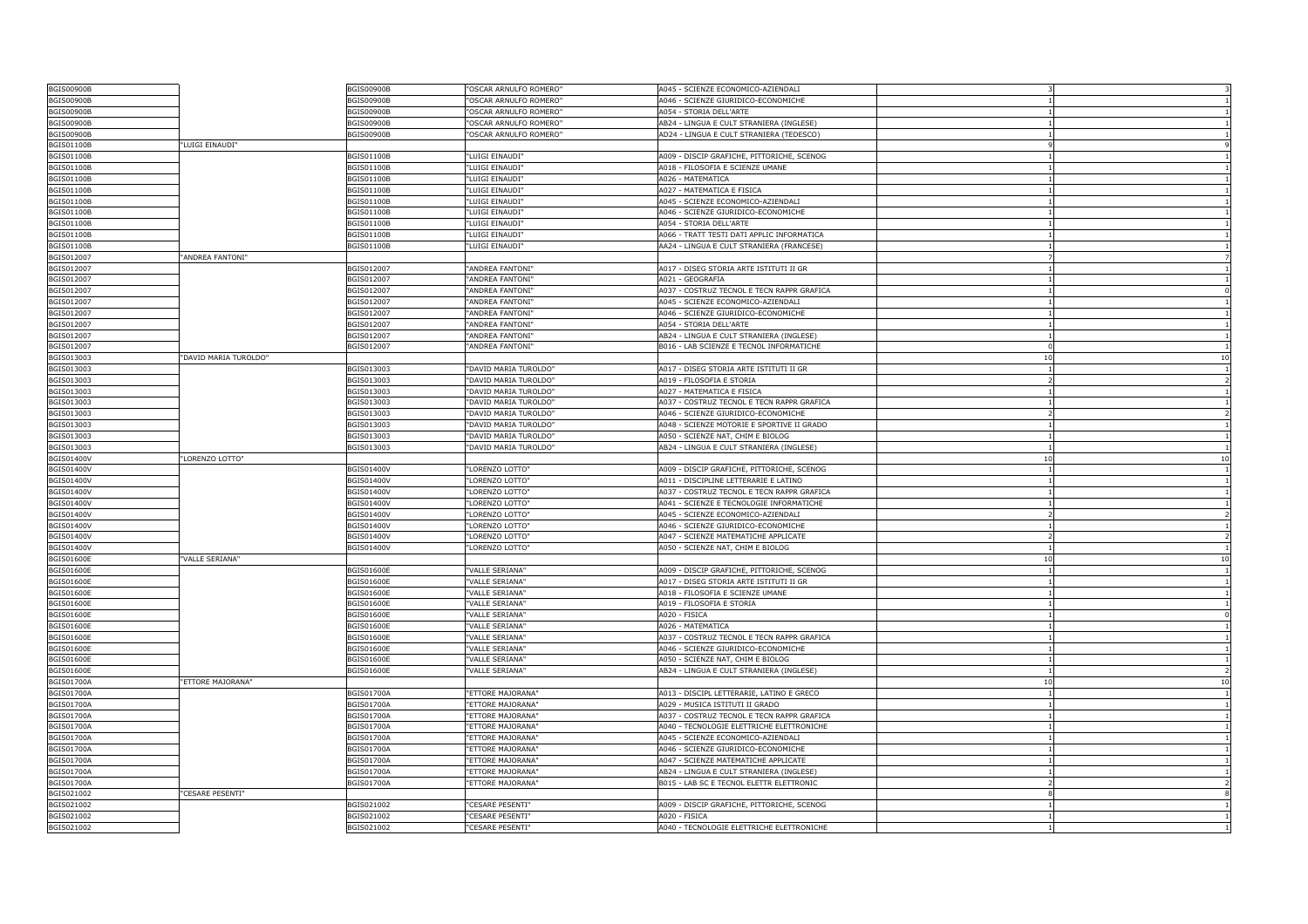| <b>BGIS00900B</b>        |                       | <b>BGIS00900B</b>        | "OSCAR ARNULFO ROMERO"               | A045 - SCIENZE ECONOMICO-AZIENDALI                         |                |                                                                            |
|--------------------------|-----------------------|--------------------------|--------------------------------------|------------------------------------------------------------|----------------|----------------------------------------------------------------------------|
| <b>BGIS00900B</b>        |                       | <b>BGIS00900B</b>        | 'OSCAR ARNULFO ROMERO"               | A046 - SCIENZE GIURIDICO-ECONOMICHE                        |                |                                                                            |
| <b>BGIS00900B</b>        |                       | <b>BGIS00900B</b>        | 'OSCAR ARNULFO ROMERO"               | 4054 - STORIA DELL'ARTE                                    |                |                                                                            |
| <b>BGIS00900B</b>        |                       | BGIS00900B               | "OSCAR ARNULFO ROMERO"               | AB24 - LINGUA E CULT STRANIERA (INGLESE)                   |                | -1                                                                         |
| <b>BGIS00900B</b>        |                       | BGIS00900B               | "OSCAR ARNULFO ROMERO"               | AD24 - LINGUA E CULT STRANIERA (TEDESCO)                   |                |                                                                            |
| <b>BGIS01100B</b>        | "LUIGI EINAUDI"       |                          |                                      |                                                            | $\mathsf{Q}$   |                                                                            |
| BGIS01100B               |                       | BGIS01100B               | "LUIGI EINAUDI"                      | A009 - DISCIP GRAFICHE, PITTORICHE, SCENOG                 |                |                                                                            |
| <b>BGIS01100B</b>        |                       | BGIS01100B               | "LUIGI EINAUDI"                      | A018 - FILOSOFIA E SCIENZE UMANE                           |                | -1                                                                         |
| <b>BGIS01100B</b>        |                       | BGIS01100B               | "LUIGI EINAUDI"                      | A026 - MATEMATICA                                          |                | -1                                                                         |
| <b>BGIS01100B</b>        |                       | BGIS01100B               | "LUIGI EINAUDI"                      | A027 - MATEMATICA E FISICA                                 |                |                                                                            |
| BGIS01100B               |                       | BGIS01100B               | "LUIGI EINAUDI"                      | A045 - SCIENZE ECONOMICO-AZIENDALI                         |                |                                                                            |
| <b>BGIS01100B</b>        |                       | BGIS01100B               | "LUIGI EINAUDI"                      | A046 - SCIENZE GIURIDICO-ECONOMICHE                        |                |                                                                            |
| BGIS01100B               |                       | BGIS01100B               | "LUIGI EINAUDI"                      | A054 - STORIA DELL'ARTE                                    |                | $\overline{1}$                                                             |
| BGIS01100B               |                       | BGIS01100B               | "LUIGI EINAUDI"                      | A066 - TRATT TESTI DATI APPLIC INFORMATICA                 |                | $\mathbf{1}$                                                               |
| BGIS01100B               |                       | BGIS01100B               | "LUIGI EINAUDI"                      | AA24 - LINGUA E CULT STRANIERA (FRANCESE)                  |                |                                                                            |
| BGIS012007               | "ANDREA FANTONI"      |                          |                                      |                                                            |                |                                                                            |
| BGIS012007               |                       | BGIS012007               | "ANDREA FANTONI"                     | A017 - DISEG STORIA ARTE ISTITUTI II GR                    |                | -1                                                                         |
| BGIS012007               |                       | BGIS012007               | "ANDREA FANTONI'                     | A021 - GEOGRAFIA                                           |                |                                                                            |
| BGIS012007               |                       | BGIS012007               | "ANDREA FANTONI"                     | A037 - COSTRUZ TECNOL E TECN RAPPR GRAFICA                 |                | $\Omega$                                                                   |
| BGIS012007               |                       | BGIS012007               | "ANDREA FANTONI"                     | A045 - SCIENZE ECONOMICO-AZIENDALI                         |                |                                                                            |
| BGIS012007               |                       | BGIS012007               | 'ANDREA FANTONI"                     | A046 - SCIENZE GIURIDICO-ECONOMICHE                        |                |                                                                            |
| BGIS012007               |                       | BGIS012007               | "ANDREA FANTONI"                     | A054 - STORIA DELL'ARTE                                    |                | $\overline{1}$                                                             |
| BGIS012007               |                       | BGIS012007               | "ANDREA FANTONI"                     | AB24 - LINGUA E CULT STRANIERA (INGLESE)                   |                |                                                                            |
| BGIS012007               |                       | BGIS012007               | "ANDREA FANTONI"                     | B016 - LAB SCIENZE E TECNOL INFORMATICHE                   | $\Omega$       |                                                                            |
| BGIS013003               | "DAVID MARIA TUROLDO" |                          |                                      |                                                            | 10             | 10                                                                         |
| BGIS013003               |                       | BGIS013003               | "DAVID MARIA TUROLDO"                | A017 - DISEG STORIA ARTE ISTITUTI II GR                    |                | -1                                                                         |
| BGIS013003               |                       | BGIS013003               | "DAVID MARIA TUROLDO"                | A019 - FILOSOFIA E STORIA                                  | $\overline{2}$ | $\overline{2}$                                                             |
| BGIS013003               |                       | BGIS013003               | "DAVID MARIA TUROLDO"                | A027 - MATEMATICA E FISICA                                 |                |                                                                            |
| BGIS013003               |                       | BGIS013003               | "DAVID MARIA TUROLDO"                | A037 - COSTRUZ TECNOL E TECN RAPPR GRAFICA                 |                |                                                                            |
| BGIS013003               |                       | 3GIS013003               | "DAVID MARIA TUROLDO"                | A046 - SCIENZE GIURIDICO-ECONOMICHE                        |                |                                                                            |
| BGIS013003               |                       | BGIS013003               | "DAVID MARIA TUROLDO"                | A048 - SCIENZE MOTORIE E SPORTIVE II GRADO                 |                | $\overline{1}$                                                             |
| BGIS013003               |                       | BGIS013003               | "DAVID MARIA TUROLDO"                | A050 - SCIENZE NAT, CHIM E BIOLOG                          |                |                                                                            |
| BGIS013003               |                       | BGIS013003               | "DAVID MARIA TUROLDO"                | AB24 - LINGUA E CULT STRANIERA (INGLESE)                   |                |                                                                            |
| <b>BGIS01400V</b>        | "LORENZO LOTTO"       |                          |                                      |                                                            | 10             | 10                                                                         |
| <b>BGIS01400V</b>        |                       | BGIS01400V               | "LORENZO LOTTO"                      | A009 - DISCIP GRAFICHE, PITTORICHE, SCENOG                 |                | -1                                                                         |
| <b>BGIS01400V</b>        |                       | BGIS01400V               | "LORENZO LOTTO"                      | A011 - DISCIPLINE LETTERARIE E LATINO                      |                | -1                                                                         |
| BGIS01400V               |                       | BGIS01400V               | "LORENZO LOTTO"                      | A037 - COSTRUZ TECNOL E TECN RAPPR GRAFICA                 |                |                                                                            |
| BGIS01400V               |                       | BGIS01400V               | "LORENZO LOTTO"                      | A041 - SCIENZE E TECNOLOGIE INFORMATICHE                   |                |                                                                            |
|                          |                       |                          | "LORENZO LOTTO"                      | A045 - SCIENZE ECONOMICO-AZIENDALI                         |                |                                                                            |
|                          |                       |                          |                                      |                                                            |                |                                                                            |
| BGIS01400V               |                       | 3GIS01400V               |                                      |                                                            |                |                                                                            |
| <b>BGIS01400V</b>        |                       | BGIS01400V               | "LORENZO LOTTO"                      | A046 - SCIENZE GIURIDICO-ECONOMICHE                        |                |                                                                            |
| BGIS01400V               |                       | BGIS01400V               | "LORENZO LOTTO"                      | A047 - SCIENZE MATEMATICHE APPLICATE                       | $\mathcal{P}$  |                                                                            |
| BGIS01400V               |                       | BGIS01400V               | "LORENZO LOTTO"                      | A050 - SCIENZE NAT, CHIM E BIOLOG                          |                |                                                                            |
| <b>BGIS01600E</b>        | "VALLE SERIANA"       |                          |                                      |                                                            | 10             |                                                                            |
| <b>BGIS01600E</b>        |                       | <b>BGIS01600E</b>        | 'VALLE SERIANA"                      | A009 - DISCIP GRAFICHE, PITTORICHE, SCENOG                 |                |                                                                            |
| <b>BGIS01600E</b>        |                       | BGIS01600E               | "VALLE SERIANA"                      | A017 - DISEG STORIA ARTE ISTITUTI II GR                    |                |                                                                            |
| <b>BGIS01600E</b>        |                       | <b>BGIS01600E</b>        | "VALLE SERIANA"                      | A018 - FILOSOFIA E SCIENZE UMANE                           |                |                                                                            |
| <b>BGIS01600E</b>        |                       | <b>BGIS01600E</b>        | "VALLE SERIANA"                      | A019 - FILOSOFIA E STORIA                                  |                |                                                                            |
| <b>BGIS01600E</b>        |                       | BGIS01600E               | "VALLE SERIANA"                      | A020 - FISICA                                              |                | $\overline{z}$<br>$\overline{1}$<br>10<br>-1<br>$\overline{1}$<br>$\Omega$ |
| <b>BGIS01600E</b>        |                       | <b>BGIS01600E</b>        | "VALLE SERIANA"                      | A026 - MATEMATICA                                          |                |                                                                            |
| <b>BGIS01600E</b>        |                       | <b>BGIS01600E</b>        | "VALLE SERIANA"                      | A037 - COSTRUZ TECNOL E TECN RAPPR GRAFICA                 |                |                                                                            |
| <b>BGIS01600E</b>        |                       | <b>BGIS01600E</b>        | "VALLE SERIANA"                      | A046 - SCIENZE GIURIDICO-ECONOMICHE                        |                | -1<br>$\overline{1}$                                                       |
| <b>BGIS01600E</b>        |                       | BGIS01600E               | "VALLE SERIANA"                      | A050 - SCIENZE NAT, CHIM E BIOLOG                          |                |                                                                            |
| <b>BGIS01600E</b>        |                       | <b>BGIS01600E</b>        | "VALLE SERIANA"                      | AB24 - LINGUA E CULT STRANIERA (INGLESE)                   |                |                                                                            |
| BGIS01700A               | "ETTORE MAJORANA"     |                          |                                      |                                                            | 10             | $\overline{2}$<br>10                                                       |
| BGIS01700A               |                       | <b>BGIS01700A</b>        | "ETTORE MAJORANA"                    | A013 - DISCIPL LETTERARIE, LATINO E GRECO                  |                |                                                                            |
| BGIS01700A               |                       | <b>BGIS01700A</b>        | "ETTORE MAJORANA"                    | A029 - MUSICA ISTITUTI II GRADO                            |                |                                                                            |
| <b>BGIS01700A</b>        |                       | <b>BGIS01700A</b>        | "ETTORE MAJORANA"                    | A037 - COSTRUZ TECNOL E TECN RAPPR GRAFICA                 |                |                                                                            |
| <b>BGIS01700A</b>        |                       | <b>BGIS01700A</b>        | "ETTORE MAJORANA"                    | A040 - TECNOLOGIE ELETTRICHE ELETTRONICHE                  |                | -1                                                                         |
| <b>BGIS01700A</b>        |                       | BGIS01700A               | "ETTORE MAJORANA"                    | A045 - SCIENZE ECONOMICO-AZIENDALI                         |                | $\overline{1}$                                                             |
| BGIS01700A               |                       | BGIS01700A               | "ETTORE MAJORANA"                    | A046 - SCIENZE GIURIDICO-ECONOMICHE                        |                |                                                                            |
| BGIS01700A               |                       | BGIS01700A               | "ETTORE MAJORANA"                    | A047 - SCIENZE MATEMATICHE APPLICATE                       |                |                                                                            |
| <b>BGIS01700A</b>        |                       | <b>BGIS01700A</b>        | "ETTORE MAJORANA"                    | AB24 - LINGUA E CULT STRANIERA (INGLESE)                   |                | $\mathbf{1}$                                                               |
| BGIS01700A               |                       | <b>BGIS01700A</b>        | "ETTORE MAJORANA"                    | B015 - LAB SC E TECNOL ELETTR ELETTRONIC                   |                |                                                                            |
| BGIS021002               | "CESARE PESENTI"      |                          |                                      |                                                            | 8              | $\overline{2}$                                                             |
| BGIS021002               |                       | BGIS021002               | "CESARE PESENTI"                     | A009 - DISCIP GRAFICHE, PITTORICHE, SCENOG                 |                |                                                                            |
| BGIS021002<br>BGIS021002 |                       | BGIS021002<br>BGIS021002 | 'CESARE PESENTI"<br>"CESARE PESENTI" | 1020 - FISICA<br>A040 - TECNOLOGIE ELETTRICHE ELETTRONICHE |                |                                                                            |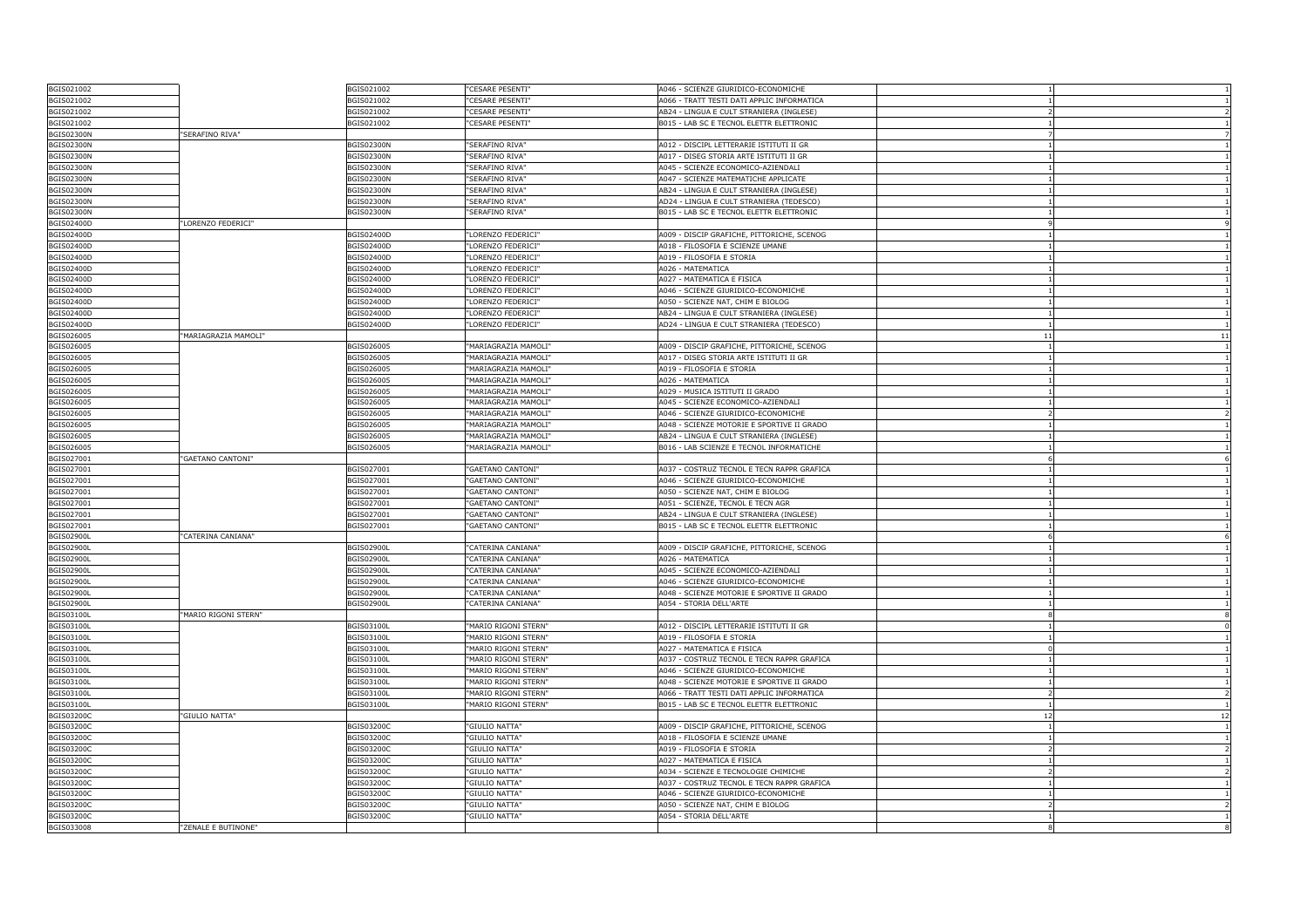| BGIS021002                      |                      | BGIS021002        | 'CESARE PESENTI"       | A046 - SCIENZE GIURIDICO-ECONOMICHE        |               |                          |
|---------------------------------|----------------------|-------------------|------------------------|--------------------------------------------|---------------|--------------------------|
| BGIS021002                      |                      | BGIS021002        | 'CESARE PESENTI"       | A066 - TRATT TESTI DATI APPLIC INFORMATICA |               |                          |
| BGIS021002                      |                      | BGIS021002        | <b>CESARE PESENTI"</b> | AB24 - LINGUA E CULT STRANIERA (INGLESE)   |               |                          |
| BGIS021002                      |                      | BGIS021002        | "CESARE PESENTI"       | B015 - LAB SC E TECNOL ELETTR ELETTRONIC   |               | -1                       |
| <b>BGIS02300N</b>               | "SERAFINO RIVA"      |                   |                        |                                            |               |                          |
| <b>BGIS02300N</b>               |                      | <b>BGIS02300N</b> | "SERAFINO RIVA"        | A012 - DISCIPL LETTERARIE ISTITUTI II GR   |               |                          |
| <b>BGIS02300N</b>               |                      | <b>BGIS02300N</b> | "SERAFINO RIVA"        | A017 - DISEG STORIA ARTE ISTITUTI II GR    |               |                          |
| <b>BGIS02300N</b>               |                      | <b>BGIS02300N</b> | "SERAFINO RIVA"        | A045 - SCIENZE ECONOMICO-AZIENDALI         |               | -1                       |
| <b>BGIS02300N</b>               |                      | <b>BGIS02300N</b> | "SERAFINO RIVA"        | A047 - SCIENZE MATEMATICHE APPLICATE       |               | -1                       |
| <b>BGIS02300N</b>               |                      | <b>BGIS02300N</b> | "SERAFINO RIVA"        | AB24 - LINGUA E CULT STRANIERA (INGLESE)   |               |                          |
| <b>BGIS02300N</b>               |                      | BGIS02300N        | "SERAFINO RIVA"        | AD24 - LINGUA E CULT STRANIERA (TEDESCO)   |               |                          |
| <b>BGIS02300N</b>               |                      | <b>BGIS02300N</b> | "SERAFINO RIVA"        | B015 - LAB SC E TECNOL ELETTR ELETTRONIC   |               |                          |
| BGIS02400D                      | "LORENZO FEDERICI"   |                   |                        |                                            | $\mathsf{Q}$  | $^{\circ}$               |
| BGIS02400D                      |                      | BGIS02400D        | "LORENZO FEDERICI"     | A009 - DISCIP GRAFICHE, PITTORICHE, SCENOG |               |                          |
| BGIS02400D                      |                      | BGIS02400D        | "LORENZO FEDERICI"     | A018 - FILOSOFIA E SCIENZE UMANE           |               |                          |
| BGIS02400D                      |                      | BGIS02400D        | "LORENZO FEDERICI"     | A019 - FILOSOFIA E STORIA                  |               |                          |
| BGIS02400D                      |                      | BGIS02400D        | "LORENZO FEDERICI"     | A026 - MATEMATICA                          |               | -1                       |
| BGIS02400D                      |                      | BGIS02400D        | "LORENZO FEDERICI"     | A027 - MATEMATICA E FISICA                 |               | -1                       |
| BGIS02400D                      |                      | BGIS02400D        | "LORENZO FEDERICI"     | A046 - SCIENZE GIURIDICO-ECONOMICHE        |               |                          |
| BGIS02400D                      |                      | BGIS02400D        | "LORENZO FEDERICI"     | A050 - SCIENZE NAT, CHIM E BIOLOG          |               |                          |
| BGIS02400D                      |                      | BGIS02400D        | "LORENZO FEDERICI"     | AB24 - LINGUA E CULT STRANIERA (INGLESE)   |               |                          |
| BGIS02400D                      |                      | BGIS02400D        | "LORENZO FEDERICI"     | AD24 - LINGUA E CULT STRANIERA (TEDESCO)   |               | $\overline{1}$           |
| BGIS026005                      | "MARIAGRAZIA MAMOLI" |                   |                        |                                            | 11            | 11                       |
| BGIS026005                      |                      | BGIS026005        | "MARIAGRAZIA MAMOLI"   | A009 - DISCIP GRAFICHE, PITTORICHE, SCENOG |               |                          |
| BGIS026005                      |                      | BGIS026005        | "MARIAGRAZIA MAMOLI"   | A017 - DISEG STORIA ARTE ISTITUTI II GR    |               |                          |
| BGIS026005                      |                      | BGIS026005        | "MARIAGRAZIA MAMOLI'   | A019 - FILOSOFIA E STORIA                  |               | -1                       |
| BGIS026005                      |                      | BGIS026005        | "MARIAGRAZIA MAMOLI'   | A026 - MATEMATICA                          |               | -1                       |
| BGIS026005                      |                      | BGIS026005        | "MARIAGRAZIA MAMOLI'   | A029 - MUSICA ISTITUTI II GRADO            |               |                          |
| BGIS026005                      |                      | BGIS026005        | "MARIAGRAZIA MAMOLI'   | A045 - SCIENZE ECONOMICO-AZIENDALI         |               |                          |
| BGIS026005                      |                      | BGIS026005        | 'MARIAGRAZIA MAMOLI'   | A046 - SCIENZE GIURIDICO-ECONOMICHE        |               |                          |
| BGIS026005                      |                      | BGIS026005        | "MARIAGRAZIA MAMOLI"   | A048 - SCIENZE MOTORIE E SPORTIVE II GRADO |               | $\overline{1}$           |
| BGIS026005                      |                      | BGIS026005        | "MARIAGRAZIA MAMOLI"   | AB24 - LINGUA E CULT STRANIERA (INGLESE)   |               |                          |
| BGIS026005                      |                      | BGIS026005        | "MARIAGRAZIA MAMOLI'   | B016 - LAB SCIENZE E TECNOL INFORMATICHE   |               |                          |
| BGIS027001                      | "GAETANO CANTONI"    |                   |                        |                                            |               | 6                        |
| BGIS027001                      |                      | BGIS027001        | 'GAETANO CANTONI'      | A037 - COSTRUZ TECNOL E TECN RAPPR GRAFICA |               | -1                       |
| BGIS027001                      |                      | BGIS027001        | "GAETANO CANTONI"      | A046 - SCIENZE GIURIDICO-ECONOMICHE        |               |                          |
| BGIS027001                      |                      | BGIS027001        | "GAETANO CANTONI"      | A050 - SCIENZE NAT, CHIM E BIOLOG          |               |                          |
| BGIS027001                      |                      | BGIS027001        | "GAETANO CANTONI"      | A051 - SCIENZE, TECNOL E TECN AGR          |               |                          |
| BGIS027001                      |                      | BGIS027001        | 'GAETANO CANTONI'      | AB24 - LINGUA E CULT STRANIERA (INGLESE)   |               |                          |
| BGIS027001                      |                      | BGIS027001        | "GAETANO CANTONI"      | B015 - LAB SC E TECNOL ELETTR ELETTRONIC   |               | $\overline{1}$           |
| <b>BGIS02900L</b>               | "CATERINA CANIANA"   |                   |                        |                                            | 6             | -6                       |
| <b>BGIS02900L</b>               |                      | BGIS02900L        | "CATERINA CANIANA"     | A009 - DISCIP GRAFICHE, PITTORICHE, SCENOG |               |                          |
| BGIS02900L                      |                      | <b>BGIS02900L</b> | "CATERINA CANIANA"     | A026 - MATEMATICA                          |               |                          |
| <b>BGIS02900L</b>               |                      | <b>BGIS02900L</b> | "CATERINA CANIANA"     | A045 - SCIENZE ECONOMICO-AZIENDALI         |               | -1                       |
| <b>BGIS02900L</b>               |                      | <b>BGIS02900L</b> | "CATERINA CANIANA"     | A046 - SCIENZE GIURIDICO-ECONOMICHE        |               | $\overline{1}$           |
| <b>BGIS02900L</b>               |                      | <b>BGIS02900L</b> | "CATERINA CANIANA"     | A048 - SCIENZE MOTORIE E SPORTIVE II GRADO |               |                          |
| <b>BGIS02900L</b>               |                      | <b>BGIS02900L</b> | "CATERINA CANIANA"     | A054 - STORIA DELL'ARTE                    |               |                          |
| BGIS03100L                      | "MARIO RIGONI STERN" |                   |                        |                                            |               |                          |
| BGIS03100L                      |                      | BGIS03100L        | "MARIO RIGONI STERN"   | A012 - DISCIPL LETTERARIE ISTITUTI II GR   |               | $^{\circ}$               |
| <b>BGIS03100L</b>               |                      | <b>BGIS03100L</b> | "MARIO RIGONI STERN"   | A019 - FILOSOFIA E STORIA                  |               | -1                       |
| BGIS03100L                      |                      | BGIS03100L        | "MARIO RIGONI STERN"   | A027 - MATEMATICA E FISICA                 | $\Omega$      |                          |
| BGIS03100L                      |                      | BGIS03100L        | "MARIO RIGONI STERN"   | A037 - COSTRUZ TECNOL E TECN RAPPR GRAFICA |               |                          |
| <b>BGIS03100L</b>               |                      | BGIS03100L        | "MARIO RIGONI STERN"   | A046 - SCIENZE GIURIDICO-ECONOMICHE        |               | -1                       |
| BGIS03100L                      |                      | BGIS03100L        | "MARIO RIGONI STERN"   | A048 - SCIENZE MOTORIE E SPORTIVE II GRADO | $\mathbf{1}$  | $\overline{1}$           |
| BGIS03100L                      |                      | <b>BGIS03100L</b> | "MARIO RIGONI STERN"   | A066 - TRATT TESTI DATI APPLIC INFORMATICA | $\mathcal{P}$ |                          |
| BGIS03100L                      |                      | BGIS03100L        | "MARIO RIGONI STERN"   | B015 - LAB SC E TECNOL ELETTR ELETTRONIC   |               |                          |
| <b>BGIS03200C</b>               | "GIULIO NATTA"       |                   |                        |                                            | 12            | 12                       |
| BGIS03200C                      |                      | BGIS03200C        | "GIULIO NATTA"         | A009 - DISCIP GRAFICHE, PITTORICHE, SCENOG |               | -1                       |
| BGIS03200C                      |                      | BGIS03200C        | "GIULIO NATTA"         | A018 - FILOSOFIA E SCIENZE UMANE           |               | $\overline{1}$           |
| BGIS03200C                      |                      |                   | "GIULIO NATTA"         | A019 - FILOSOFIA E STORIA                  | $\mathcal{P}$ |                          |
| BGIS03200C                      |                      |                   |                        |                                            |               |                          |
|                                 |                      | BGIS03200C        |                        |                                            |               |                          |
|                                 |                      | BGIS03200C        | "GIULIO NATTA"         | A027 - MATEMATICA E FISICA                 |               |                          |
| BGIS03200C                      |                      | BGIS03200C        | "GIULIO NATTA"         | A034 - SCIENZE E TECNOLOGIE CHIMICHE       |               | $\overline{\phantom{a}}$ |
| BGIS03200C                      |                      | BGIS03200C        | "GIULIO NATTA"         | A037 - COSTRUZ TECNOL E TECN RAPPR GRAFICA |               | $\overline{1}$           |
| <b>BGIS03200C</b>               |                      | <b>BGIS03200C</b> | "GIULIO NATTA"         | A046 - SCIENZE GIURIDICO-ECONOMICHE        |               |                          |
| BGIS03200C                      |                      | BGIS03200C        | "GIULIO NATTA"         | A050 - SCIENZE NAT, CHIM E BIOLOG          |               |                          |
| <b>BGIS03200C</b><br>BGIS033008 | "ZENALE E BUTINONE"  | <b>BGIS03200C</b> | 'GIULIO NATTA"         | A054 - STORIA DELL'ARTE                    |               |                          |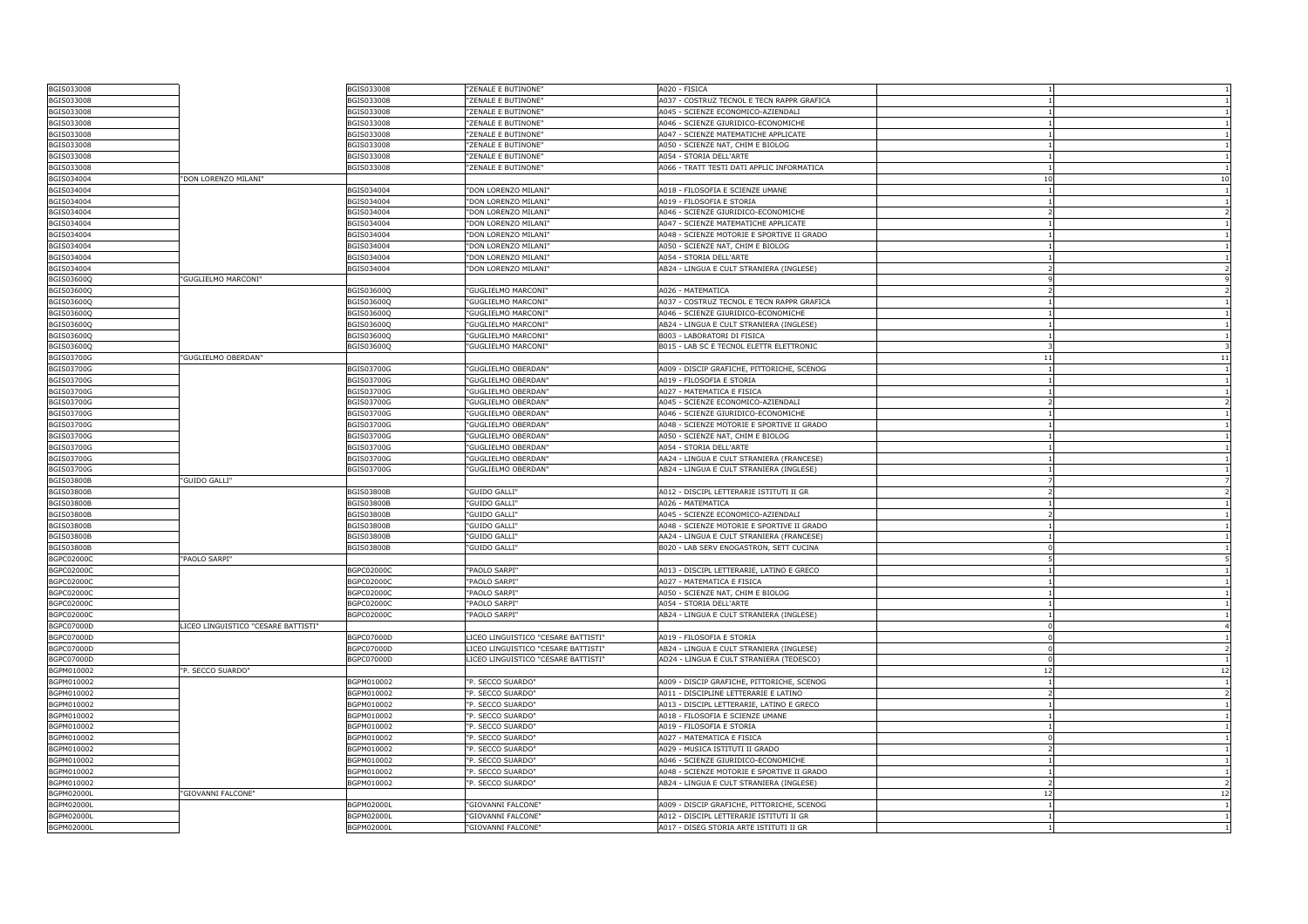| BGIS033008                      |                                     | BGIS033008        | "ZENALE E BUTINONE"                        | A020 - FISICA                              |                |                |
|---------------------------------|-------------------------------------|-------------------|--------------------------------------------|--------------------------------------------|----------------|----------------|
| BGIS033008                      |                                     | BGIS033008        | "ZENALE E BUTINONE"                        | A037 - COSTRUZ TECNOL E TECN RAPPR GRAFICA |                |                |
| BGIS033008                      |                                     | BGIS033008        | "ZENALE E BUTINONE"                        | A045 - SCIENZE ECONOMICO-AZIENDALI         |                |                |
| BGIS033008                      |                                     | BGIS033008        | "ZENALE E BUTINONE"                        | A046 - SCIENZE GIURIDICO-ECONOMICHE        |                | $\overline{1}$ |
| BGIS033008                      |                                     | BGIS033008        | "ZENALE E BUTINONE"                        | A047 - SCIENZE MATEMATICHE APPLICATE       |                |                |
| BGIS033008                      |                                     | BGIS033008        | "ZENALE E BUTINONE"                        | A050 - SCIENZE NAT, CHIM E BIOLOG          |                |                |
| BGIS033008                      |                                     | BGIS033008        | 'ZENALE E BUTINONE"                        | A054 - STORIA DELL'ARTE                    |                |                |
| BGIS033008                      |                                     | BGIS033008        | "ZENALE E BUTINONE"                        | A066 - TRATT TESTI DATI APPLIC INFORMATICA |                | $\overline{1}$ |
| BGIS034004                      | "DON LORENZO MILANI"                |                   |                                            |                                            | 10             | 10             |
| BGIS034004                      |                                     | BGIS034004        | "DON LORENZO MILANI"                       | A018 - FILOSOFIA E SCIENZE UMANE           |                |                |
| BGIS034004                      |                                     | BGIS034004        | "DON LORENZO MILANI"                       | A019 - FILOSOFIA E STORIA                  |                |                |
| BGIS034004                      |                                     | BGIS034004        | "DON LORENZO MILANI"                       | A046 - SCIENZE GIURIDICO-ECONOMICHE        | $\mathcal{P}$  | $\overline{2}$ |
| BGIS034004                      |                                     | BGIS034004        | "DON LORENZO MILANI'                       | A047 - SCIENZE MATEMATICHE APPLICATE       |                | -1             |
| BGIS034004                      |                                     | BGIS034004        | "DON LORENZO MILANI"                       | A048 - SCIENZE MOTORIE E SPORTIVE II GRADO |                | $\overline{1}$ |
| BGIS034004                      |                                     | BGIS034004        | "DON LORENZO MILANI'                       | A050 - SCIENZE NAT, CHIM E BIOLOG          |                |                |
| BGIS034004                      |                                     | BGIS034004        | "DON LORENZO MILANI'                       | A054 - STORIA DELL'ARTE                    |                | $\mathbf{1}$   |
| BGIS034004                      |                                     | BGIS034004        | "DON LORENZO MILANI"                       | AB24 - LINGUA E CULT STRANIERA (INGLESE)   |                | $\overline{2}$ |
| BGIS03600Q                      | "GUGLIELMO MARCONI"                 |                   |                                            |                                            | $\mathbf{q}$   |                |
| BGIS03600Q                      |                                     | BGIS03600Q        | "GUGLIELMO MARCONI"                        | A026 - MATEMATICA                          |                |                |
| BGIS03600Q                      |                                     | BGIS03600Q        | "GUGLIELMO MARCONI'                        | A037 - COSTRUZ TECNOL E TECN RAPPR GRAFICA |                |                |
| BGIS03600Q                      |                                     | BGIS03600Q        | "GUGLIELMO MARCONI"                        | A046 - SCIENZE GIURIDICO-ECONOMICHE        |                | -1             |
| BGIS03600Q                      |                                     | BGIS03600Q        | "GUGLIELMO MARCONI"                        | AB24 - LINGUA E CULT STRANIERA (INGLESE)   |                | $\mathbf{1}$   |
| BGIS03600Q                      |                                     | BGIS03600Q        | "GUGLIELMO MARCONI"                        | B003 - LABORATORI DI FISICA                |                |                |
|                                 |                                     |                   |                                            | B015 - LAB SC E TECNOL ELETTR ELETTRONIC   |                |                |
| BGIS03600Q<br><b>BGIS03700G</b> | "GUGLIELMO OBERDAN"                 | BGIS03600Q        | "GUGLIELMO MARCONI'                        |                                            | 11             | 11             |
|                                 |                                     |                   |                                            |                                            |                |                |
| <b>BGIS03700G</b>               |                                     | BGIS03700G        | "GUGLIELMO OBERDAN"<br>"GUGLIELMO OBERDAN" | A009 - DISCIP GRAFICHE, PITTORICHE, SCENOG |                | $\overline{1}$ |
| <b>BGIS03700G</b>               |                                     | BGIS03700G        |                                            | A019 - FILOSOFIA E STORIA                  |                |                |
| <b>BGIS03700G</b>               |                                     | BGIS03700G        | "GUGLIELMO OBERDAN"                        | A027 - MATEMATICA E FISICA                 |                | $\overline{2}$ |
| BGIS03700G                      |                                     | BGIS03700G        | "GUGLIELMO OBERDAN"                        | A045 - SCIENZE ECONOMICO-AZIENDALI         |                |                |
| <b>BGIS03700G</b>               |                                     | BGIS03700G        | "GUGLIELMO OBERDAN"                        | A046 - SCIENZE GIURIDICO-ECONOMICHE        |                | $\overline{1}$ |
| <b>BGIS03700G</b>               |                                     | BGIS03700G        | "GUGLIELMO OBERDAN"                        | A048 - SCIENZE MOTORIE E SPORTIVE II GRADO |                |                |
| BGIS03700G                      |                                     | <b>BGIS03700G</b> | "GUGLIELMO OBERDAN"                        | A050 - SCIENZE NAT, CHIM E BIOLOG          |                |                |
| <b>BGIS03700G</b>               |                                     | BGIS03700G        | "GUGLIELMO OBERDAN"                        | A054 - STORIA DELL'ARTE                    |                |                |
| <b>BGIS03700G</b>               |                                     | BGIS03700G        | "GUGLIELMO OBERDAN"                        | AA24 - LINGUA E CULT STRANIERA (FRANCESE)  |                | -1             |
| <b>BGIS03700G</b>               |                                     | BGIS03700G        | "GUGLIELMO OBERDAN"                        | AB24 - LINGUA E CULT STRANIERA (INGLESE)   |                | $\overline{1}$ |
| <b>BGIS03800B</b>               | "GUIDO GALLI"                       |                   |                                            |                                            | $\overline{ }$ |                |
| <b>BGIS03800B</b>               |                                     | <b>BGIS03800B</b> | "GUIDO GALLI"                              | A012 - DISCIPL LETTERARIE ISTITUTI II GR   |                |                |
| <b>BGIS03800B</b>               |                                     | <b>BGIS03800B</b> | "GUIDO GALLI"                              | A026 - MATEMATICA                          |                | - 1            |
| <b>BGIS03800B</b>               |                                     | <b>BGIS03800B</b> | "GUIDO GALLI"                              | A045 - SCIENZE ECONOMICO-AZIENDALI         | $\overline{2}$ | $\overline{1}$ |
| <b>BGIS03800B</b>               |                                     | <b>BGIS03800B</b> | "GUIDO GALLI"                              | A048 - SCIENZE MOTORIE E SPORTIVE II GRADO |                |                |
| <b>BGIS03800B</b>               |                                     | BGIS03800B        | "GUIDO GALLI"                              | AA24 - LINGUA E CULT STRANIERA (FRANCESE)  |                |                |
| <b>BGIS03800B</b>               |                                     | <b>BGIS03800B</b> | "GUIDO GALLI"                              | B020 - LAB SERV ENOGASTRON, SETT CUCINA    |                |                |
| BGPC02000C                      | "PAOLO SARPI'                       |                   |                                            |                                            | 5              | 5              |
| BGPC02000C                      |                                     | BGPC02000C        | "PAOLO SARPI"                              | A013 - DISCIPL LETTERARIE, LATINO E GRECO  |                | $\overline{1}$ |
| <b>BGPC02000C</b>               |                                     | BGPC02000C        | "PAOLO SARPI"                              | A027 - MATEMATICA E FISICA                 |                |                |
| BGPC02000C                      |                                     | BGPC02000C        | "PAOLO SARPI"                              | A050 - SCIENZE NAT, CHIM E BIOLOG          |                |                |
| BGPC02000C                      |                                     | BGPC02000C        | "PAOLO SARPI"                              | A054 - STORIA DELL'ARTE                    |                | -1             |
| BGPC02000C                      |                                     | BGPC02000C        | "PAOLO SARPI"                              | AB24 - LINGUA E CULT STRANIERA (INGLESE)   |                |                |
| BGPC07000D                      | LICEO LINGUISTICO "CESARE BATTISTI" |                   |                                            |                                            | $\Omega$       | $\overline{4}$ |
| BGPC07000D                      |                                     | BGPC07000D        | LICEO LINGUISTICO "CESARE BATTISTI"        | A019 - FILOSOFIA E STORIA                  | $\Omega$       |                |
| BGPC07000D                      |                                     | BGPC07000D        | LICEO LINGUISTICO "CESARE BATTISTI"        | AB24 - LINGUA E CULT STRANIERA (INGLESE)   | $\Omega$       | $\overline{2}$ |
| BGPC07000D                      |                                     | BGPC07000D        | LICEO LINGUISTICO "CESARE BATTISTI"        | AD24 - LINGUA E CULT STRANIERA (TEDESCO)   | $\Omega$       |                |
| BGPM010002                      | "P. SECCO SUARDO"                   |                   |                                            |                                            | 12             | 12             |
| BGPM010002                      |                                     | BGPM010002        | "P. SECCO SUARDO"                          | A009 - DISCIP GRAFICHE, PITTORICHE, SCENOG |                |                |
| BGPM010002                      |                                     | BGPM010002        | "P. SECCO SUARDO"                          | A011 - DISCIPLINE LETTERARIE E LATINO      |                |                |
| BGPM010002                      |                                     | BGPM010002        | "P. SECCO SUARDO"                          | A013 - DISCIPL LETTERARIE, LATINO E GRECO  |                | $\overline{1}$ |
| BGPM010002                      |                                     | BGPM010002        | "P. SECCO SUARDO"                          | A018 - FILOSOFIA E SCIENZE UMANE           |                |                |
| BGPM010002                      |                                     | BGPM010002        | "P. SECCO SUARDO"                          | A019 - FILOSOFIA E STORIA                  |                |                |
| BGPM010002                      |                                     | BGPM010002        | "P. SECCO SUARDO"                          | A027 - MATEMATICA E FISICA                 | $\Omega$       |                |
| BGPM010002                      |                                     | BGPM010002        | "P. SECCO SUARDO"                          | A029 - MUSICA ISTITUTI II GRADO            |                | -1             |
| BGPM010002                      |                                     | BGPM010002        | "P. SECCO SUARDO"                          | A046 - SCIENZE GIURIDICO-ECONOMICHE        |                | $\overline{1}$ |
| BGPM010002                      |                                     | BGPM010002        | "P. SECCO SUARDO"                          | A048 - SCIENZE MOTORIE E SPORTIVE II GRADO |                |                |
| BGPM010002                      |                                     | BGPM010002        | "P. SECCO SUARDO"                          | AB24 - LINGUA E CULT STRANIERA (INGLESE)   |                |                |
| <b>BGPM02000L</b>               | "GIOVANNI FALCONE"                  |                   |                                            |                                            | 12             | 12             |
| <b>BGPM02000L</b>               |                                     | BGPM02000L        | "GIOVANNI FALCONE"                         | A009 - DISCIP GRAFICHE, PITTORICHE, SCENOG |                | -1             |
| <b>BGPM02000L</b>               |                                     | BGPM02000L        | "GIOVANNI FALCONE"                         | A012 - DISCIPL LETTERARIE ISTITUTI II GR   |                |                |
| BGPM02000L                      |                                     | BGPM02000L        | "GIOVANNI FALCONE"                         | A017 - DISEG STORIA ARTE ISTITUTI II GR    |                |                |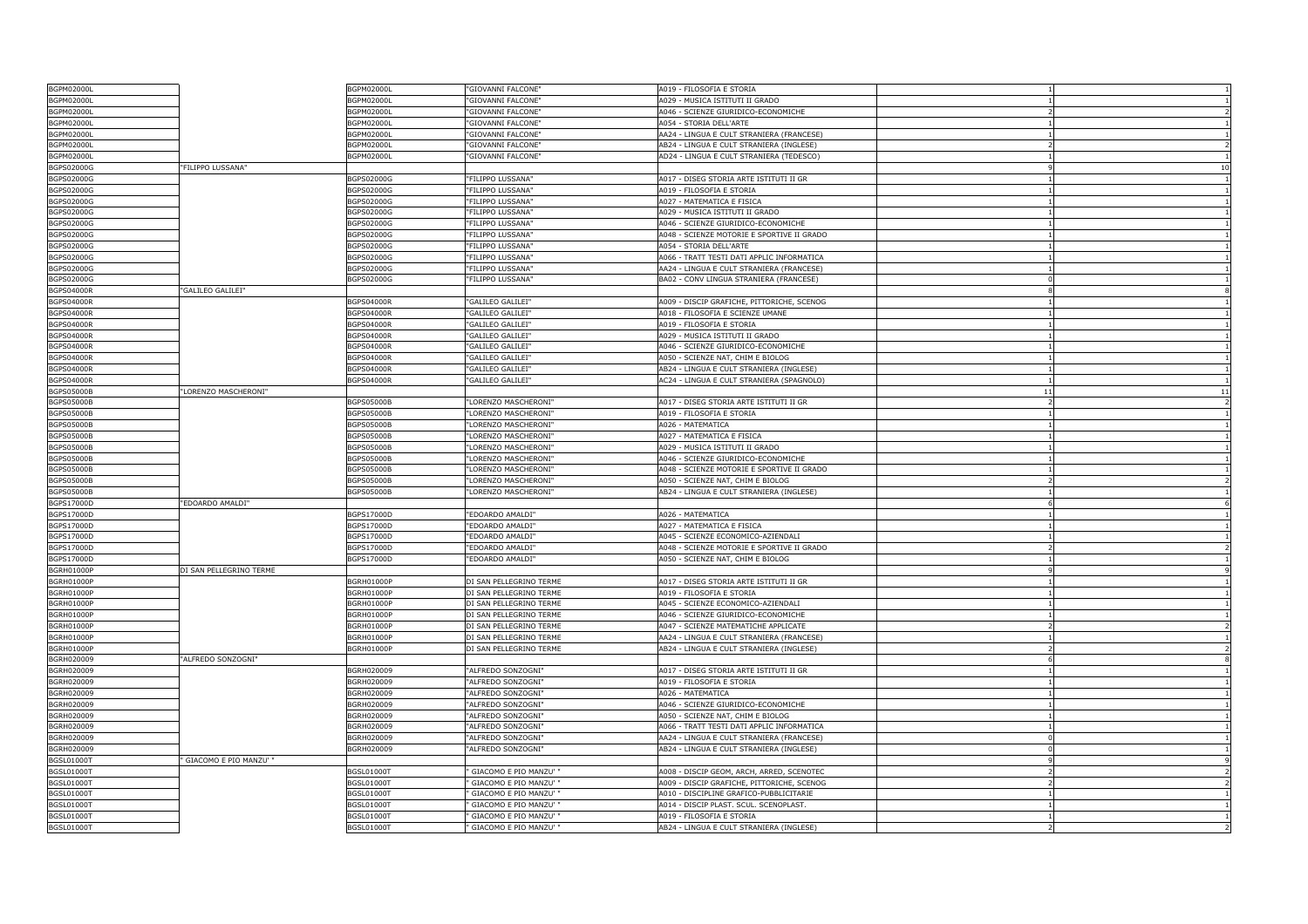| <b>BGPM02000L</b>                      |                          | BGPM02000L               | "GIOVANNI FALCONE"                                 | A019 - FILOSOFIA E STORIA                                                   |                          |                      |
|----------------------------------------|--------------------------|--------------------------|----------------------------------------------------|-----------------------------------------------------------------------------|--------------------------|----------------------|
| <b>BGPM02000L</b>                      |                          | BGPM02000L               | 'GIOVANNI FALCONE'                                 | A029 - MUSICA ISTITUTI II GRADO                                             |                          |                      |
| <b>BGPM02000L</b>                      |                          | 3GPM02000L               | "GIOVANNI FALCONE"                                 | 4046 - SCIENZE GIURIDICO-ECONOMICHE                                         |                          | $\overline{2}$       |
| <b>BGPM02000L</b>                      |                          | BGPM02000L               | "GIOVANNI FALCONE"                                 | A054 - STORIA DELL'ARTE                                                     |                          | -1                   |
| BGPM02000L                             |                          | BGPM02000L               | "GIOVANNI FALCONE"                                 | AA24 - LINGUA E CULT STRANIERA (FRANCESE)                                   |                          |                      |
| <b>BGPM02000L</b>                      |                          | BGPM02000L               | "GIOVANNI FALCONE"                                 | AB24 - LINGUA E CULT STRANIERA (INGLESE)                                    | $\mathcal{P}$            |                      |
| BGPM02000L                             |                          | 3GPM02000L               | "GIOVANNI FALCONE"                                 | AD24 - LINGUA E CULT STRANIERA (TEDESCO)                                    |                          |                      |
| BGPS02000G                             | "FILIPPO LUSSANA"        |                          |                                                    |                                                                             |                          | 10                   |
| BGPS02000G                             |                          | BGPS02000G               | "FILIPPO LUSSANA"                                  | A017 - DISEG STORIA ARTE ISTITUTI II GR                                     |                          | -1                   |
| BGPS02000G                             |                          | BGPS02000G               | "FILIPPO LUSSANA"                                  | A019 - FILOSOFIA E STORIA                                                   |                          |                      |
| BGPS02000G                             |                          | BGPS02000G               | "FILIPPO LUSSANA"                                  | A027 - MATEMATICA E FISICA                                                  |                          |                      |
| BGPS02000G                             |                          | BGPS02000G               | "FILIPPO LUSSANA"                                  | A029 - MUSICA ISTITUTI II GRADO                                             |                          |                      |
| BGPS02000G                             |                          | BGPS02000G               | "FILIPPO LUSSANA"                                  | A046 - SCIENZE GIURIDICO-ECONOMICHE                                         |                          | $\overline{1}$       |
| BGPS02000G                             |                          | BGPS02000G               | "FILIPPO LUSSANA"                                  | A048 - SCIENZE MOTORIE E SPORTIVE II GRADO                                  |                          | $\mathbf{1}$         |
| BGPS02000G                             |                          | BGPS02000G               | "FILIPPO LUSSANA"                                  | A054 - STORIA DELL'ARTE                                                     |                          |                      |
| BGPS02000G                             |                          | BGPS02000G               | "FILIPPO LUSSANA'                                  | A066 - TRATT TESTI DATI APPLIC INFORMATICA                                  |                          |                      |
| BGPS02000G                             |                          | BGPS02000G               | "FILIPPO LUSSANA"                                  | AA24 - LINGUA E CULT STRANIERA (FRANCESE)                                   |                          | -1                   |
| BGPS02000G                             |                          | BGPS02000G               | "FILIPPO LUSSANA"                                  | BA02 - CONV LINGUA STRANIERA (FRANCESE)                                     | $\Omega$                 |                      |
| <b>BGPS04000R</b>                      | "GALILEO GALILEI"        |                          |                                                    |                                                                             | 8                        |                      |
| BGPS04000R                             |                          | <b>BGPS04000R</b>        | "GALILEO GALILEI"                                  | A009 - DISCIP GRAFICHE, PITTORICHE, SCENOG                                  |                          |                      |
| <b>BGPS04000R</b>                      |                          | <b>BGPS04000R</b>        | 'GALILEO GALILEI"                                  | A018 - FILOSOFIA E SCIENZE UMANE                                            |                          |                      |
| <b>BGPS04000R</b>                      |                          | BGPS04000R               | "GALILEO GALILEI"                                  | A019 - FILOSOFIA E STORIA                                                   |                          | $\overline{1}$       |
| <b>BGPS04000R</b>                      |                          | 3GPS04000R               | "GALILEO GALILEI"                                  | A029 - MUSICA ISTITUTI II GRADO                                             |                          |                      |
| <b>BGPS04000R</b>                      |                          | BGPS04000F               | "GALILEO GALILEI"                                  | A046 - SCIENZE GIURIDICO-ECONOMICHE                                         |                          |                      |
| <b>BGPS04000R</b>                      |                          | <b>BGPS04000R</b>        | "GALILEO GALILEI"                                  | A050 - SCIENZE NAT, CHIM E BIOLOG                                           |                          |                      |
| <b>BGPS04000R</b>                      |                          | <b>BGPS04000R</b>        | 'GALILEO GALILEI"                                  | AB24 - LINGUA E CULT STRANIERA (INGLESE)                                    |                          | -1                   |
| <b>BGPS04000R</b>                      |                          | <b>BGPS04000R</b>        | "GALILEO GALILEI"                                  | AC24 - LINGUA E CULT STRANIERA (SPAGNOLO)                                   |                          | $\overline{1}$       |
| <b>BGPS05000B</b>                      | "LORENZO MASCHERONI"     |                          |                                                    |                                                                             | 11                       | 11                   |
| BGPS05000B                             |                          | <b>BGPS05000B</b>        | "LORENZO MASCHERONI"                               | A017 - DISEG STORIA ARTE ISTITUTI II GR                                     |                          |                      |
| <b>BGPS05000B</b>                      |                          | 3GPS05000B               | "LORENZO MASCHERONI'                               | A019 - FILOSOFIA E STORIA                                                   |                          |                      |
| <b>BGPS05000B</b>                      |                          | BGPS05000B               | "LORENZO MASCHERONI'                               | A026 - MATEMATICA                                                           |                          | $\overline{1}$       |
| <b>BGPS05000B</b>                      |                          |                          | "LORENZO MASCHERONI"                               | A027 - MATEMATICA E FISICA                                                  |                          | $\overline{1}$       |
|                                        |                          | 3GPS05000B<br>BGPS05000B | "LORENZO MASCHERONI"                               | A029 - MUSICA ISTITUTI II GRADO                                             |                          |                      |
| <b>BGPS05000B</b><br><b>BGPS05000B</b> |                          | 3GPS05000B               | 'LORENZO MASCHERONI'                               | A046 - SCIENZE GIURIDICO-ECONOMICHE                                         |                          |                      |
| <b>BGPS05000B</b>                      |                          | <b>BGPS05000B</b>        | "LORENZO MASCHERONI'                               | A048 - SCIENZE MOTORIE E SPORTIVE II GRADO                                  |                          | -1                   |
| <b>BGPS05000B</b>                      |                          | BGPS05000B               | "LORENZO MASCHERONI'                               | A050 - SCIENZE NAT, CHIM E BIOLOG                                           | $\overline{\phantom{a}}$ | $\overline{2}$       |
| <b>BGPS05000B</b>                      |                          | BGPS05000B               | "LORENZO MASCHERONI'                               | AB24 - LINGUA E CULT STRANIERA (INGLESE)                                    |                          |                      |
|                                        | "EDOARDO AMALDI"         |                          |                                                    |                                                                             |                          |                      |
| BGPS17000D<br>BGPS17000D               |                          | BGPS17000D               | "EDOARDO AMALDI"                                   | A026 - MATEMATICA                                                           |                          |                      |
| BGPS17000D                             |                          | BGPS17000D               | "EDOARDO AMALDI"                                   | A027 - MATEMATICA E FISICA                                                  |                          | $\overline{1}$       |
| BGPS17000D                             |                          |                          | "EDOARDO AMALDI"                                   | A045 - SCIENZE ECONOMICO-AZIENDALI                                          |                          |                      |
| BGPS17000D                             |                          | BGPS17000D               | "EDOARDO AMALDI'                                   | A048 - SCIENZE MOTORIE E SPORTIVE II GRADO                                  |                          |                      |
| BGPS17000D                             |                          | BGPS17000D<br>BGPS17000D | "EDOARDO AMALDI"                                   | A050 - SCIENZE NAT, CHIM E BIOLOG                                           |                          |                      |
| <b>BGRH01000P</b>                      | DI SAN PELLEGRINO TERME  |                          |                                                    |                                                                             |                          | 9                    |
| <b>BGRH01000P</b>                      |                          | BGRH01000P               | DI SAN PELLEGRINO TERME                            | A017 - DISEG STORIA ARTE ISTITUTI II GR                                     |                          | $\overline{1}$       |
|                                        |                          |                          |                                                    | A019 - FILOSOFIA E STORIA                                                   |                          |                      |
| <b>BGRH01000P</b>                      |                          | <b>BGRH01000F</b>        | DI SAN PELLEGRINO TERME                            |                                                                             |                          |                      |
| BGRH01000P                             |                          | BGRH01000P               | DI SAN PELLEGRINO TERME                            | A045 - SCIENZE ECONOMICO-AZIENDALI                                          |                          |                      |
| <b>BGRH01000P</b><br>BGRH01000P        |                          | 3GRH01000P               | DI SAN PELLEGRINO TERME<br>DI SAN PELLEGRINO TERME | 4046 - SCIENZE GIURIDICO-ECONOMICHE<br>A047 - SCIENZE MATEMATICHE APPLICATE |                          | $\overline{2}$       |
| <b>BGRH01000P</b>                      |                          | BGRH01000P               | DI SAN PELLEGRINO TERME                            | AA24 - LINGUA E CULT STRANIERA (FRANCESE)                                   |                          | $\overline{1}$       |
|                                        |                          | BGRH01000F               |                                                    |                                                                             |                          |                      |
| BGRH01000P                             |                          | BGRH01000P               | DI SAN PELLEGRINO TERME                            | AB24 - LINGUA E CULT STRANIERA (INGLESE)                                    |                          | 8                    |
| BGRH020009<br>BGRH020009               | "ALFREDO SONZOGNI"       |                          | "ALFREDO SONZOGNI"                                 |                                                                             |                          |                      |
| BGRH020009                             |                          | BGRH020009<br>BGRH020009 | "ALFREDO SONZOGNI"                                 | A017 - DISEG STORIA ARTE ISTITUTI II GR                                     |                          | -1<br>$\overline{1}$ |
| BGRH020009                             |                          | BGRH020009               |                                                    | A019 - FILOSOFIA E STORIA                                                   |                          |                      |
|                                        |                          |                          | "ALFREDO SONZOGNI"                                 | A026 - MATEMATICA                                                           |                          |                      |
| BGRH020009<br>BGRH020009               |                          | BGRH020009               | "ALFREDO SONZOGNI"                                 | A046 - SCIENZE GIURIDICO-ECONOMICHE                                         |                          |                      |
|                                        |                          | 3GRH020009               | "ALFREDO SONZOGNI'                                 | A050 - SCIENZE NAT, CHIM E BIOLOG                                           |                          |                      |
| BGRH020009                             |                          | BGRH020009               | "ALFREDO SONZOGNI"                                 | A066 - TRATT TESTI DATI APPLIC INFORMATICA                                  | $\Omega$                 | -1<br>$\overline{1}$ |
| BGRH020009                             |                          | BGRH020009               | "ALFREDO SONZOGNI"                                 | AA24 - LINGUA E CULT STRANIERA (FRANCESE)                                   |                          |                      |
| BGRH020009                             |                          | BGRH020009               | "ALFREDO SONZOGNI"                                 | AB24 - LINGUA E CULT STRANIERA (INGLESE)                                    | $\Omega$                 |                      |
| <b>BGSL01000T</b>                      | ' GIACOMO E PIO MANZU' " |                          |                                                    |                                                                             |                          |                      |
| <b>BGSL01000T</b>                      |                          | BGSL01000T               | GIACOMO E PIO MANZU'                               | A008 - DISCIP GEOM, ARCH, ARRED, SCENOTEC                                   |                          | $\overline{z}$       |
| <b>BGSL01000T</b>                      |                          | BGSL01000T               | GIACOMO E PIO MANZU'                               | A009 - DISCIP GRAFICHE, PITTORICHE, SCENOG                                  |                          | $\overline{2}$       |
| <b>BGSL01000T</b>                      |                          | <b>BGSL01000T</b>        | GIACOMO E PIO MANZU'                               | A010 - DISCIPLINE GRAFICO-PUBBLICITARIE                                     |                          |                      |
| <b>BGSL01000T</b>                      |                          | BGSL01000T               | GIACOMO E PIO MANZU'                               | A014 - DISCIP PLAST. SCUL. SCENOPLAST.                                      |                          |                      |
| <b>BGSL01000T</b>                      |                          | 3GSL01000T               | GIACOMO E PIO MANZU' "                             | 4019 - FILOSOFIA E STORIA                                                   |                          |                      |
| <b>BGSL01000T</b>                      |                          | BGSL01000T               | GIACOMO E PIO MANZU' "                             | AB24 - LINGUA E CULT STRANIERA (INGLESE)                                    |                          |                      |